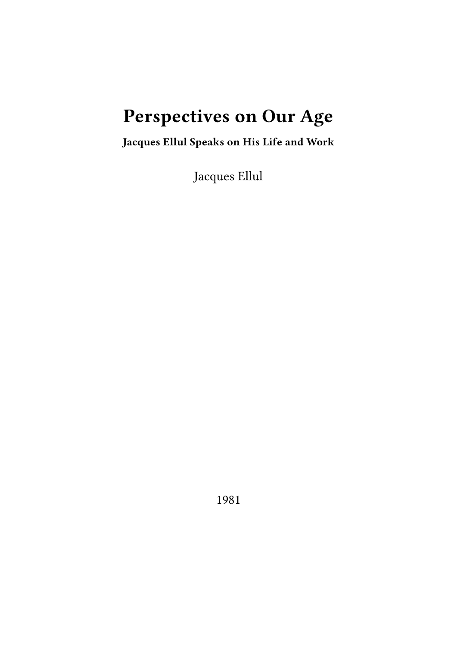# **Perspectives on Our Age**

**Jacques Ellul Speaks on His Life and Work**

Jacques Ellul

1981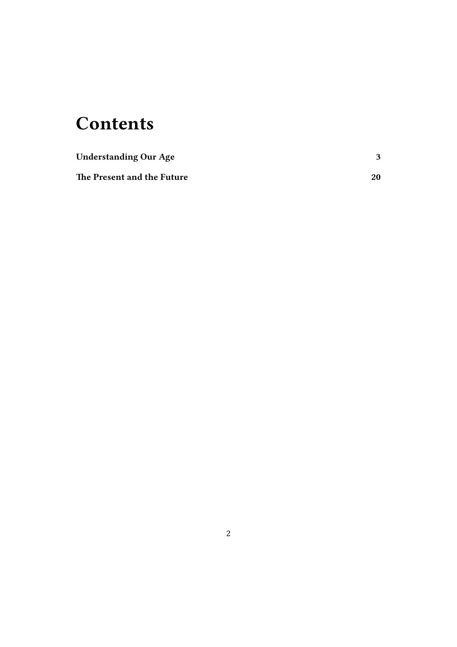## **Contents**

| <b>Understanding Our Age</b> |  |
|------------------------------|--|
|                              |  |

**The Present and the Future 20**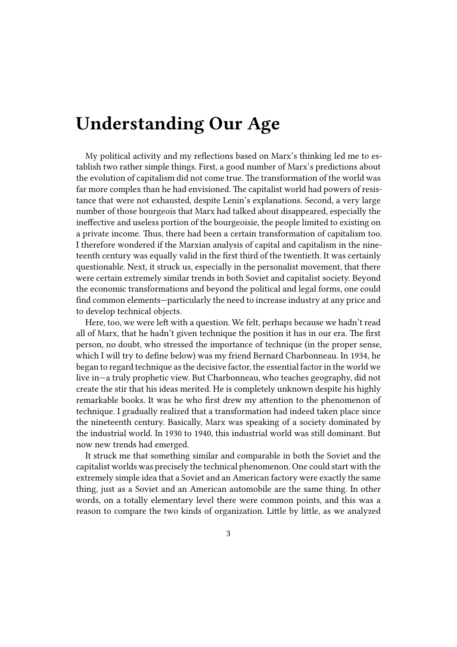### **Understanding Our Age**

My political activity and my reflections based on Marx's thinking led me to establish two rather simple things. First, a good number of Marx's predictions about the evolution of capitalism did not come true. The transformation of the world was far more complex than he had envisioned. The capitalist world had powers of resistance that were not exhausted, despite Lenin's explanations. Second, a very large number of those bourgeois that Marx had talked about disappeared, especially the ineffective and useless portion of the bourgeoisie, the people limited to existing on a private income. Thus, there had been a certain transformation of capitalism too. I therefore wondered if the Marxian analysis of capital and capitalism in the nineteenth century was equally valid in the first third of the twentieth. It was certainly questionable. Next, it struck us, especially in the personalist movement, that there were certain extremely similar trends in both Soviet and capitalist society. Beyond the economic transformations and beyond the political and legal forms, one could find common elements—particularly the need to increase industry at any price and to develop technical objects.

Here, too, we were left with a question. We felt, perhaps because we hadn't read all of Marx, that he hadn't given technique the position it has in our era. The first person, no doubt, who stressed the importance of technique (in the proper sense, which I will try to define below) was my friend Bernard Charbonneau. In 1934, he began to regard technique as the decisive factor, the essential factor in the world we live in—a truly prophetic view. But Charbonneau, who teaches geography, did not create the stir that his ideas merited. He is completely unknown despite his highly remarkable books. It was he who first drew my attention to the phenomenon of technique. I gradually realized that a transformation had indeed taken place since the nineteenth century. Basically, Marx was speaking of a society dominated by the industrial world. In 1930 to 1940, this industrial world was still dominant. But now new trends had emerged.

It struck me that something similar and comparable in both the Soviet and the capitalist worlds was precisely the technical phenomenon. One could start with the extremely simple idea that a Soviet and an American factory were exactly the same thing, just as a Soviet and an American automobile are the same thing. In other words, on a totally elementary level there were common points, and this was a reason to compare the two kinds of organization. Little by little, as we analyzed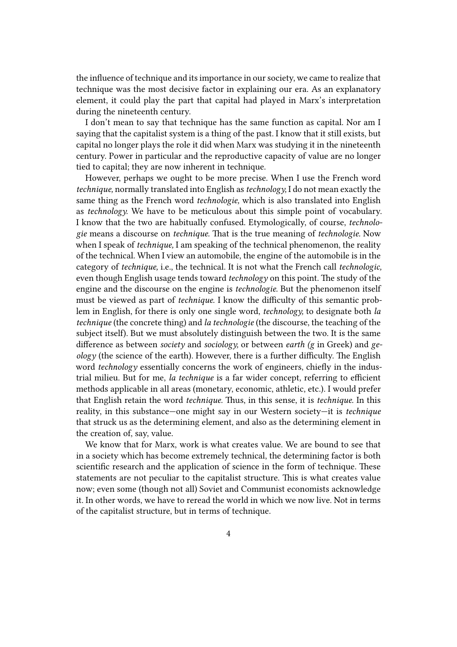the influence of technique and its importance in our society, we came to realize that technique was the most decisive factor in explaining our era. As an explanatory element, it could play the part that capital had played in Marx's interpretation during the nineteenth century.

I don't mean to say that technique has the same function as capital. Nor am I saying that the capitalist system is a thing of the past. I know that it still exists, but capital no longer plays the role it did when Marx was studying it in the nineteenth century. Power in particular and the reproductive capacity of value are no longer tied to capital; they are now inherent in technique.

However, perhaps we ought to be more precise. When I use the French word *technique,* normally translated into English as*technology,* I do not mean exactly the same thing as the French word *technologie,* which is also translated into English as *technology.* We have to be meticulous about this simple point of vocabulary. I know that the two are habitually confused. Etymologically, of course, *technologie* means a discourse on *technique.* That is the true meaning of *technologie.* Now when I speak of *technique,* I am speaking of the technical phenomenon, the reality of the technical. When I view an automobile, the engine of the automobile is in the category of *technique,* i.e., the technical. It is not what the French call *technologic,* even though English usage tends toward *technology* on this point. The study of the engine and the discourse on the engine is *technologie.* But the phenomenon itself must be viewed as part of *technique.* I know the difficulty of this semantic problem in English, for there is only one single word, *technology,* to designate both *la technique* (the concrete thing) and *la technologie* (the discourse, the teaching of the subject itself). But we must absolutely distinguish between the two. It is the same difference as between *society* and *sociology,* or between *earth (g* in Greek) and *geology* (the science of the earth). However, there is a further difficulty. The English word *technology* essentially concerns the work of engineers, chiefly in the industrial milieu. But for me, *la technique* is a far wider concept, referring to efficient methods applicable in all areas (monetary, economic, athletic, etc.). I would prefer that English retain the word *technique.* Thus, in this sense, it is *technique.* In this reality, in this substance—one might say in our Western society—it is *technique* that struck us as the determining element, and also as the determining element in the creation of, say, value.

We know that for Marx, work is what creates value. We are bound to see that in a society which has become extremely technical, the determining factor is both scientific research and the application of science in the form of technique. These statements are not peculiar to the capitalist structure. This is what creates value now; even some (though not all) Soviet and Communist economists acknowledge it. In other words, we have to reread the world in which we now live. Not in terms of the capitalist structure, but in terms of technique.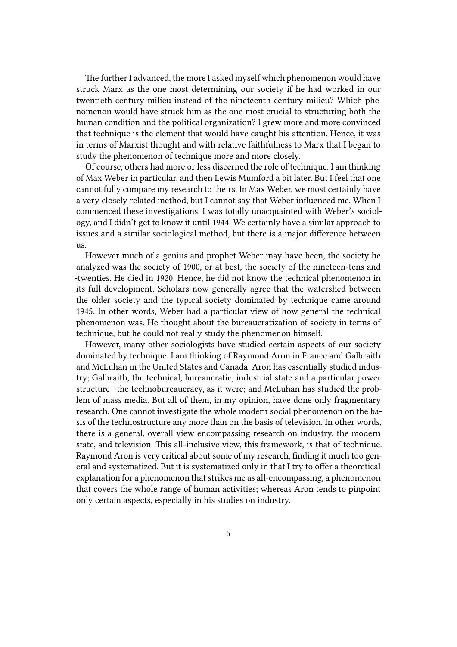The further I advanced, the more I asked myself which phenomenon would have struck Marx as the one most determining our society if he had worked in our twentieth-century milieu instead of the nineteenth-century milieu? Which phenomenon would have struck him as the one most crucial to structuring both the human condition and the political organization? I grew more and more convinced that technique is the element that would have caught his attention. Hence, it was in terms of Marxist thought and with relative faithfulness to Marx that I began to study the phenomenon of technique more and more closely.

Of course, others had more or less discerned the role of technique. I am thinking of Max Weber in particular, and then Lewis Mumford a bit later. But I feel that one cannot fully compare my research to theirs. In Max Weber, we most certainly have a very closely related method, but I cannot say that Weber influenced me. When I commenced these investigations, I was totally unacquainted with Weber's sociology, and I didn't get to know it until 1944. We certainly have a similar approach to issues and a similar sociological method, but there is a major difference between us.

However much of a genius and prophet Weber may have been, the society he analyzed was the society of 1900, or at best, the society of the nineteen-tens and -twenties. He died in 1920. Hence, he did not know the technical phenomenon in its full development. Scholars now generally agree that the watershed between the older society and the typical society dominated by technique came around 1945. In other words, Weber had a particular view of how general the technical phenomenon was. He thought about the bureaucratization of society in terms of technique, but he could not really study the phenomenon himself.

However, many other sociologists have studied certain aspects of our society dominated by technique. I am thinking of Raymond Aron in France and Galbraith and McLuhan in the United States and Canada. Aron has essentially studied industry; Galbraith, the technical, bureaucratic, industrial state and a particular power structure—the technobureaucracy, as it were; and McLuhan has studied the problem of mass media. But all of them, in my opinion, have done only fragmentary research. One cannot investigate the whole modern social phenomenon on the basis of the technostructure any more than on the basis of television. In other words, there is a general, overall view encompassing research on industry, the modern state, and television. This all-inclusive view, this framework, is that of technique. Raymond Aron is very critical about some of my research, finding it much too general and systematized. But it is systematized only in that I try to offer a theoretical explanation for a phenomenon that strikes me as all-encompassing, a phenomenon that covers the whole range of human activities; whereas Aron tends to pinpoint only certain aspects, especially in his studies on industry.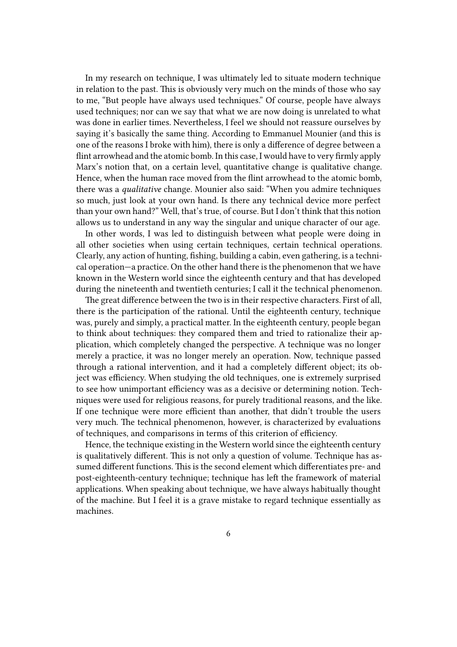In my research on technique, I was ultimately led to situate modern technique in relation to the past. This is obviously very much on the minds of those who say to me, "But people have always used techniques." Of course, people have always used techniques; nor can we say that what we are now doing is unrelated to what was done in earlier times. Nevertheless, I feel we should not reassure ourselves by saying it's basically the same thing. According to Emmanuel Mounier (and this is one of the reasons I broke with him), there is only a difference of degree between a flint arrowhead and the atomic bomb. In this case, I would have to very firmly apply Marx's notion that, on a certain level, quantitative change is qualitative change. Hence, when the human race moved from the flint arrowhead to the atomic bomb, there was a *qualitative* change. Mounier also said: "When you admire techniques so much, just look at your own hand. Is there any technical device more perfect than your own hand?" Well, that's true, of course. But I don't think that this notion allows us to understand in any way the singular and unique character of our age.

In other words, I was led to distinguish between what people were doing in all other societies when using certain techniques, certain technical operations. Clearly, any action of hunting, fishing, building a cabin, even gathering, is a technical operation—a practice. On the other hand there is the phenomenon that we have known in the Western world since the eighteenth century and that has developed during the nineteenth and twentieth centuries; I call it the technical phenomenon.

The great difference between the two is in their respective characters. First of all, there is the participation of the rational. Until the eighteenth century, technique was, purely and simply, a practical matter. In the eighteenth century, people began to think about techniques: they compared them and tried to rationalize their application, which completely changed the perspective. A technique was no longer merely a practice, it was no longer merely an operation. Now, technique passed through a rational intervention, and it had a completely different object; its object was efficiency. When studying the old techniques, one is extremely surprised to see how unimportant efficiency was as a decisive or determining notion. Techniques were used for religious reasons, for purely traditional reasons, and the like. If one technique were more efficient than another, that didn't trouble the users very much. The technical phenomenon, however, is characterized by evaluations of techniques, and comparisons in terms of this criterion of efficiency.

Hence, the technique existing in the Western world since the eighteenth century is qualitatively different. This is not only a question of volume. Technique has assumed different functions. This is the second element which differentiates pre- and post-eighteenth-century technique; technique has left the framework of material applications. When speaking about technique, we have always habitually thought of the machine. But I feel it is a grave mistake to regard technique essentially as machines.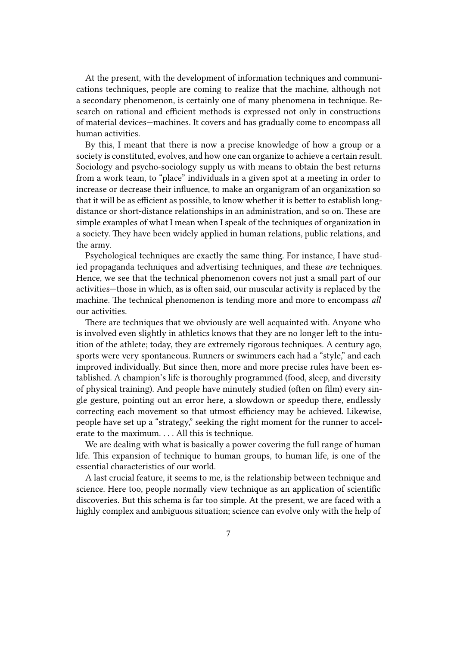At the present, with the development of information techniques and communications techniques, people are coming to realize that the machine, although not a secondary phenomenon, is certainly one of many phenomena in technique. Research on rational and efficient methods is expressed not only in constructions of material devices—machines. It covers and has gradually come to encompass all human activities.

By this, I meant that there is now a precise knowledge of how a group or a society is constituted, evolves, and how one can organize to achieve a certain result. Sociology and psycho-sociology supply us with means to obtain the best returns from a work team, to "place" individuals in a given spot at a meeting in order to increase or decrease their influence, to make an organigram of an organization so that it will be as efficient as possible, to know whether it is better to establish longdistance or short-distance relationships in an administration, and so on. These are simple examples of what I mean when I speak of the techniques of organization in a society. They have been widely applied in human relations, public relations, and the army.

Psychological techniques are exactly the same thing. For instance, I have studied propaganda techniques and advertising techniques, and these *are* techniques. Hence, we see that the technical phenomenon covers not just a small part of our activities—those in which, as is often said, our muscular activity is replaced by the machine. The technical phenomenon is tending more and more to encompass *all* our activities.

There are techniques that we obviously are well acquainted with. Anyone who is involved even slightly in athletics knows that they are no longer left to the intuition of the athlete; today, they are extremely rigorous techniques. A century ago, sports were very spontaneous. Runners or swimmers each had a "style," and each improved individually. But since then, more and more precise rules have been established. A champion's life is thoroughly programmed (food, sleep, and diversity of physical training). And people have minutely studied (often on film) every single gesture, pointing out an error here, a slowdown or speedup there, endlessly correcting each movement so that utmost efficiency may be achieved. Likewise, people have set up a "strategy," seeking the right moment for the runner to accelerate to the maximum. . . . All this is technique.

We are dealing with what is basically a power covering the full range of human life. This expansion of technique to human groups, to human life, is one of the essential characteristics of our world.

A last crucial feature, it seems to me, is the relationship between technique and science. Here too, people normally view technique as an application of scientific discoveries. But this schema is far too simple. At the present, we are faced with a highly complex and ambiguous situation; science can evolve only with the help of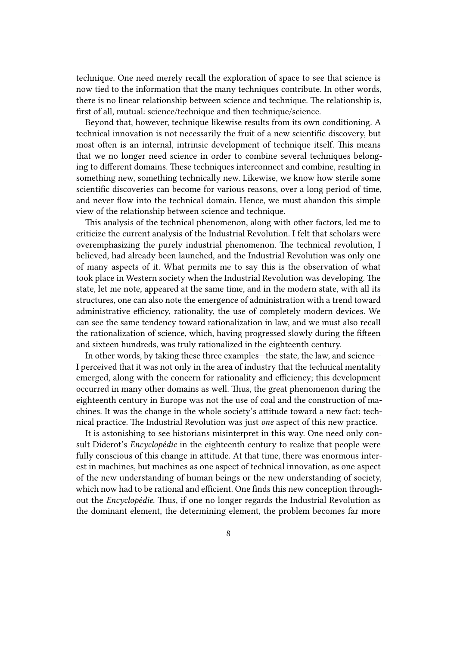technique. One need merely recall the exploration of space to see that science is now tied to the information that the many techniques contribute. In other words, there is no linear relationship between science and technique. The relationship is, first of all, mutual: science/technique and then technique/science.

Beyond that, however, technique likewise results from its own conditioning. A technical innovation is not necessarily the fruit of a new scientific discovery, but most often is an internal, intrinsic development of technique itself. This means that we no longer need science in order to combine several techniques belonging to different domains. These techniques interconnect and combine, resulting in something new, something technically new. Likewise, we know how sterile some scientific discoveries can become for various reasons, over a long period of time, and never flow into the technical domain. Hence, we must abandon this simple view of the relationship between science and technique.

This analysis of the technical phenomenon, along with other factors, led me to criticize the current analysis of the Industrial Revolution. I felt that scholars were overemphasizing the purely industrial phenomenon. The technical revolution, I believed, had already been launched, and the Industrial Revolution was only one of many aspects of it. What permits me to say this is the observation of what took place in Western society when the Industrial Revolution was developing. The state, let me note, appeared at the same time, and in the modern state, with all its structures, one can also note the emergence of administration with a trend toward administrative efficiency, rationality, the use of completely modern devices. We can see the same tendency toward rationalization in law, and we must also recall the rationalization of science, which, having progressed slowly during the fifteen and sixteen hundreds, was truly rationalized in the eighteenth century.

In other words, by taking these three examples—the state, the law, and science— I perceived that it was not only in the area of industry that the technical mentality emerged, along with the concern for rationality and efficiency; this development occurred in many other domains as well. Thus, the great phenomenon during the eighteenth century in Europe was not the use of coal and the construction of machines. It was the change in the whole society's attitude toward a new fact: technical practice. The Industrial Revolution was just *one* aspect of this new practice.

It is astonishing to see historians misinterpret in this way. One need only consult Diderot's *Encyclopédic* in the eighteenth century to realize that people were fully conscious of this change in attitude. At that time, there was enormous interest in machines, but machines as one aspect of technical innovation, as one aspect of the new understanding of human beings or the new understanding of society, which now had to be rational and efficient. One finds this new conception throughout the *Encyclopédie.* Thus, if one no longer regards the Industrial Revolution as the dominant element, the determining element, the problem becomes far more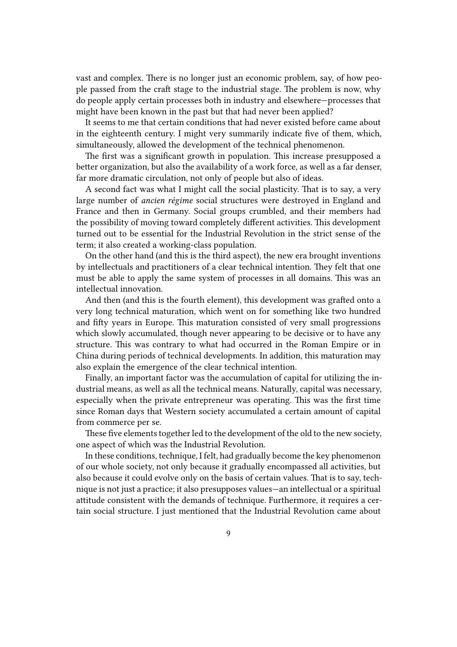vast and complex. There is no longer just an economic problem, say, of how people passed from the craft stage to the industrial stage. The problem is now, why do people apply certain processes both in industry and elsewhere—processes that might have been known in the past but that had never been applied?

It seems to me that certain conditions that had never existed before came about in the eighteenth century. I might very summarily indicate five of them, which, simultaneously, allowed the development of the technical phenomenon.

The first was a significant growth in population. This increase presupposed a better organization, but also the availability of a work force, as well as a far denser, far more dramatic circulation, not only of people but also of ideas.

A second fact was what I might call the social plasticity. That is to say, a very large number of *ancien régime* social structures were destroyed in England and France and then in Germany. Social groups crumbled, and their members had the possibility of moving toward completely different activities. This development turned out to be essential for the Industrial Revolution in the strict sense of the term; it also created a working-class population.

On the other hand (and this is the third aspect), the new era brought inventions by intellectuals and practitioners of a clear technical intention. They felt that one must be able to apply the same system of processes in all domains. This was an intellectual innovation.

And then (and this is the fourth element), this development was grafted onto a very long technical maturation, which went on for something like two hundred and fifty years in Europe. This maturation consisted of very small progressions which slowly accumulated, though never appearing to be decisive or to have any structure. This was contrary to what had occurred in the Roman Empire or in China during periods of technical developments. In addition, this maturation may also explain the emergence of the clear technical intention.

Finally, an important factor was the accumulation of capital for utilizing the industrial means, as well as all the technical means. Naturally, capital was necessary, especially when the private entrepreneur was operating. This was the first time since Roman days that Western society accumulated a certain amount of capital from commerce per se.

These five elements together led to the development of the old to the new society, one aspect of which was the Industrial Revolution.

In these conditions, technique, I felt, had gradually become the key phenomenon of our whole society, not only because it gradually encompassed all activities, but also because it could evolve only on the basis of certain values. That is to say, technique is not just a practice; it also presupposes values—an intellectual or a spiritual attitude consistent with the demands of technique. Furthermore, it requires a certain social structure. I just mentioned that the Industrial Revolution came about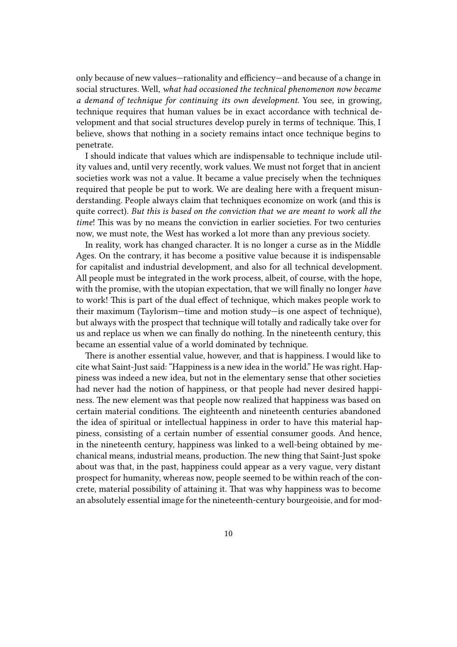only because of new values—rationality and efficiency—and because of a change in social structures. Well, *what had occasioned the technical phenomenon now became a demand of technique for continuing its own development.* You see, in growing, technique requires that human values be in exact accordance with technical development and that social structures develop purely in terms of technique. This, I believe, shows that nothing in a society remains intact once technique begins to penetrate.

I should indicate that values which are indispensable to technique include utility values and, until very recently, work values. We must not forget that in ancient societies work was not a value. It became a value precisely when the techniques required that people be put to work. We are dealing here with a frequent misunderstanding. People always claim that techniques economize on work (and this is quite correct). *But this is based on the conviction that we are meant to work all the time*! This was by no means the conviction in earlier societies. For two centuries now, we must note, the West has worked a lot more than any previous society.

In reality, work has changed character. It is no longer a curse as in the Middle Ages. On the contrary, it has become a positive value because it is indispensable for capitalist and industrial development, and also for all technical development. All people must be integrated in the work process, albeit, of course, with the hope, with the promise, with the utopian expectation, that we will finally no longer *have* to work! This is part of the dual effect of technique, which makes people work to their maximum (Taylorism—time and motion study—is one aspect of technique), but always with the prospect that technique will totally and radically take over for us and replace us when we can finally do nothing. In the nineteenth century, this became an essential value of a world dominated by technique.

There is another essential value, however, and that is happiness. I would like to cite what Saint-Just said: "Happiness is a new idea in the world." He was right. Happiness was indeed a new idea, but not in the elementary sense that other societies had never had the notion of happiness, or that people had never desired happiness. The new element was that people now realized that happiness was based on certain material conditions. The eighteenth and nineteenth centuries abandoned the idea of spiritual or intellectual happiness in order to have this material happiness, consisting of a certain number of essential consumer goods. And hence, in the nineteenth century, happiness was linked to a well-being obtained by mechanical means, industrial means, production. The new thing that Saint-Just spoke about was that, in the past, happiness could appear as a very vague, very distant prospect for humanity, whereas now, people seemed to be within reach of the concrete, material possibility of attaining it. That was why happiness was to become an absolutely essential image for the nineteenth-century bourgeoisie, and for mod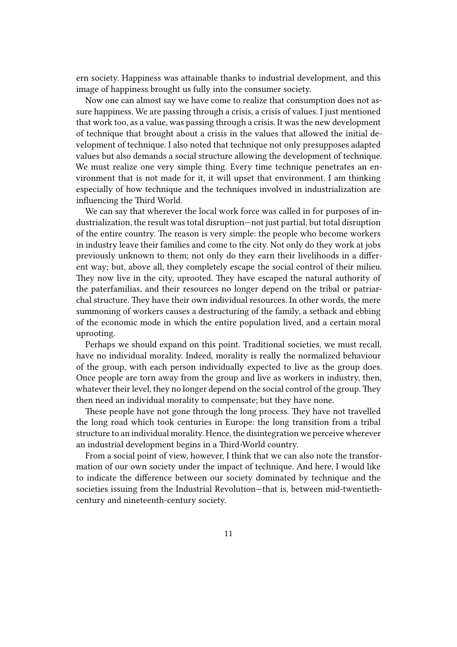ern society. Happiness was attainable thanks to industrial development, and this image of happiness brought us fully into the consumer society.

Now one can almost say we have come to realize that consumption does not assure happiness. We are passing through a crisis, a crisis of values. I just mentioned that work too, as a value, was passing through a crisis. It was the new development of technique that brought about a crisis in the values that allowed the initial development of technique. I also noted that technique not only presupposes adapted values but also demands a social structure allowing the development of technique. We must realize one very simple thing. Every time technique penetrates an environment that is not made for it, it will upset that environment. I am thinking especially of how technique and the techniques involved in industrialization are influencing the Third World.

We can say that wherever the local work force was called in for purposes of industrialization, the result was total disruption—not just partial, but total disruption of the entire country. The reason is very simple: the people who become workers in industry leave their families and come to the city. Not only do they work at jobs previously unknown to them; not only do they earn their livelihoods in a different way; but, above all, they completely escape the social control of their milieu. They now live in the city, uprooted. They have escaped the natural authority of the paterfamilias, and their resources no longer depend on the tribal or patriarchal structure. They have their own individual resources. In other words, the mere summoning of workers causes a destructuring of the family, a setback and ebbing of the economic mode in which the entire population lived, and a certain moral uprooting.

Perhaps we should expand on this point. Traditional societies, we must recall, have no individual morality. Indeed, morality is really the normalized behaviour of the group, with each person individually expected to live as the group does. Once people are torn away from the group and live as workers in industry, then, whatever their level, they no longer depend on the social control of the group. They then need an individual morality to compensate; but they have none.

These people have not gone through the long process. They have not travelled the long road which took centuries in Europe: the long transition from a tribal structure to an individual morality. Hence, the disintegration we perceive wherever an industrial development begins in a Third-World country.

From a social point of view, however, I think that we can also note the transformation of our own society under the impact of technique. And here, I would like to indicate the difference between our society dominated by technique and the societies issuing from the Industrial Revolution—that is, between mid-twentiethcentury and nineteenth-century society.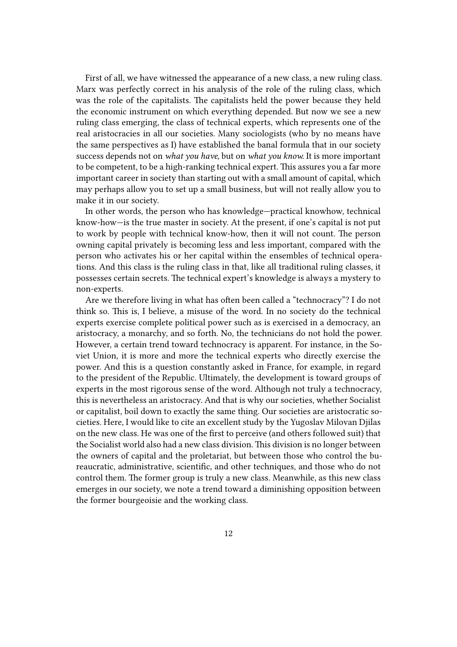First of all, we have witnessed the appearance of a new class, a new ruling class. Marx was perfectly correct in his analysis of the role of the ruling class, which was the role of the capitalists. The capitalists held the power because they held the economic instrument on which everything depended. But now we see a new ruling class emerging, the class of technical experts, which represents one of the real aristocracies in all our societies. Many sociologists (who by no means have the same perspectives as I) have established the banal formula that in our society success depends not on *what you have,* but on *what you know.* It is more important to be competent, to be a high-ranking technical expert. This assures you a far more important career in society than starting out with a small amount of capital, which may perhaps allow you to set up a small business, but will not really allow you to make it in our society.

In other words, the person who has knowledge—practical knowhow, technical know-how—is the true master in society. At the present, if one's capital is not put to work by people with technical know-how, then it will not count. The person owning capital privately is becoming less and less important, compared with the person who activates his or her capital within the ensembles of technical operations. And this class is the ruling class in that, like all traditional ruling classes, it possesses certain secrets. The technical expert's knowledge is always a mystery to non-experts.

Are we therefore living in what has often been called a "technocracy"? I do not think so. This is, I believe, a misuse of the word. In no society do the technical experts exercise complete political power such as is exercised in a democracy, an aristocracy, a monarchy, and so forth. No, the technicians do not hold the power. However, a certain trend toward technocracy is apparent. For instance, in the Soviet Union, it is more and more the technical experts who directly exercise the power. And this is a question constantly asked in France, for example, in regard to the president of the Republic. Ultimately, the development is toward groups of experts in the most rigorous sense of the word. Although not truly a technocracy, this is nevertheless an aristocracy. And that is why our societies, whether Socialist or capitalist, boil down to exactly the same thing. Our societies are aristocratic societies. Here, I would like to cite an excellent study by the Yugoslav Milovan Djilas on the new class. He was one of the first to perceive (and others followed suit) that the Socialist world also had a new class division. This division is no longer between the owners of capital and the proletariat, but between those who control the bureaucratic, administrative, scientific, and other techniques, and those who do not control them. The former group is truly a new class. Meanwhile, as this new class emerges in our society, we note a trend toward a diminishing opposition between the former bourgeoisie and the working class.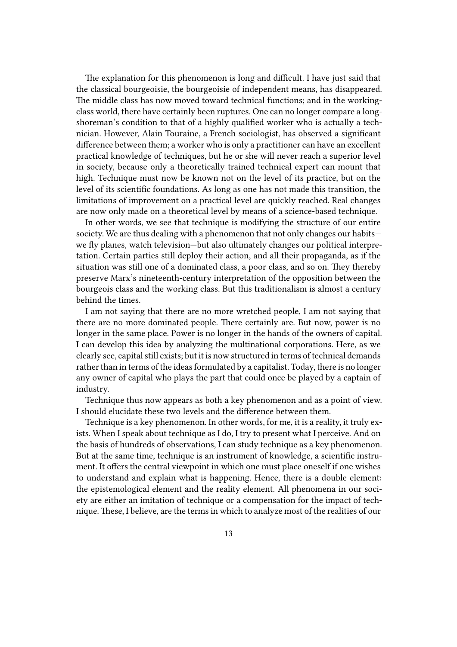The explanation for this phenomenon is long and difficult. I have just said that the classical bourgeoisie, the bourgeoisie of independent means, has disappeared. The middle class has now moved toward technical functions; and in the workingclass world, there have certainly been ruptures. One can no longer compare a longshoreman's condition to that of a highly qualified worker who is actually a technician. However, Alain Touraine, a French sociologist, has observed a significant difference between them; a worker who is only a practitioner can have an excellent practical knowledge of techniques, but he or she will never reach a superior level in society, because only a theoretically trained technical expert can mount that high. Technique must now be known not on the level of its practice, but on the level of its scientific foundations. As long as one has not made this transition, the limitations of improvement on a practical level are quickly reached. Real changes are now only made on a theoretical level by means of a science-based technique.

In other words, we see that technique is modifying the structure of our entire society. We are thus dealing with a phenomenon that not only changes our habits we fly planes, watch television—but also ultimately changes our political interpretation. Certain parties still deploy their action, and all their propaganda, as if the situation was still one of a dominated class, a poor class, and so on. They thereby preserve Marx's nineteenth-century interpretation of the opposition between the bourgeois class and the working class. But this traditionalism is almost a century behind the times.

I am not saying that there are no more wretched people, I am not saying that there are no more dominated people. There certainly are. But now, power is no longer in the same place. Power is no longer in the hands of the owners of capital. I can develop this idea by analyzing the multinational corporations. Here, as we clearly see, capital still exists; but it is now structured in terms of technical demands rather than in terms of the ideas formulated by a capitalist. Today, there is no longer any owner of capital who plays the part that could once be played by a captain of industry.

Technique thus now appears as both a key phenomenon and as a point of view. I should elucidate these two levels and the difference between them.

Technique is a key phenomenon. In other words, for me, it is a reality, it truly exists. When I speak about technique as I do, I try to present what I perceive. And on the basis of hundreds of observations, I can study technique as a key phenomenon. But at the same time, technique is an instrument of knowledge, a scientific instrument. It offers the central viewpoint in which one must place oneself if one wishes to understand and explain what is happening. Hence, there is a double element: the epistemological element and the reality element. All phenomena in our society are either an imitation of technique or a compensation for the impact of technique. These, I believe, are the terms in which to analyze most of the realities of our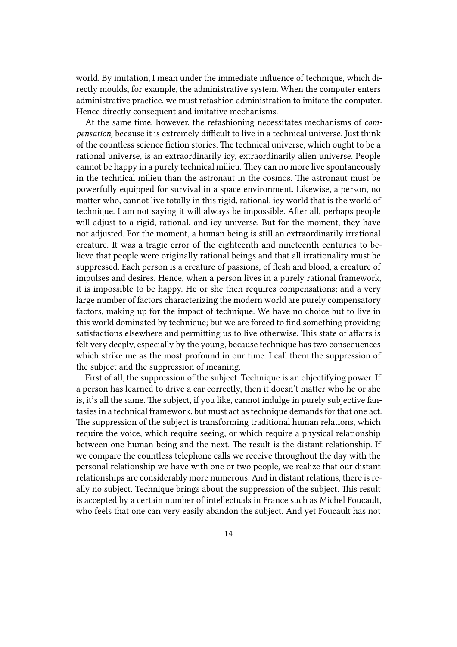world. By imitation, I mean under the immediate influence of technique, which directly moulds, for example, the administrative system. When the computer enters administrative practice, we must refashion administration to imitate the computer. Hence directly consequent and imitative mechanisms.

At the same time, however, the refashioning necessitates mechanisms of *compensation,* because it is extremely difficult to live in a technical universe. Just think of the countless science fiction stories. The technical universe, which ought to be a rational universe, is an extraordinarily icy, extraordinarily alien universe. People cannot be happy in a purely technical milieu. They can no more live spontaneously in the technical milieu than the astronaut in the cosmos. The astronaut must be powerfully equipped for survival in a space environment. Likewise, a person, no matter who, cannot live totally in this rigid, rational, icy world that is the world of technique. I am not saying it will always be impossible. After all, perhaps people will adjust to a rigid, rational, and icy universe. But for the moment, they have not adjusted. For the moment, a human being is still an extraordinarily irrational creature. It was a tragic error of the eighteenth and nineteenth centuries to believe that people were originally rational beings and that all irrationality must be suppressed. Each person is a creature of passions, of flesh and blood, a creature of impulses and desires. Hence, when a person lives in a purely rational framework, it is impossible to be happy. He or she then requires compensations; and a very large number of factors characterizing the modern world are purely compensatory factors, making up for the impact of technique. We have no choice but to live in this world dominated by technique; but we are forced to find something providing satisfactions elsewhere and permitting us to live otherwise. This state of affairs is felt very deeply, especially by the young, because technique has two consequences which strike me as the most profound in our time. I call them the suppression of the subject and the suppression of meaning.

First of all, the suppression of the subject. Technique is an objectifying power. If a person has learned to drive a car correctly, then it doesn't matter who he or she is, it's all the same. The subject, if you like, cannot indulge in purely subjective fantasies in a technical framework, but must act as technique demands for that one act. The suppression of the subject is transforming traditional human relations, which require the voice, which require seeing, or which require a physical relationship between one human being and the next. The result is the distant relationship. If we compare the countless telephone calls we receive throughout the day with the personal relationship we have with one or two people, we realize that our distant relationships are considerably more numerous. And in distant relations, there is really no subject. Technique brings about the suppression of the subject. This result is accepted by a certain number of intellectuals in France such as Michel Foucault, who feels that one can very easily abandon the subject. And yet Foucault has not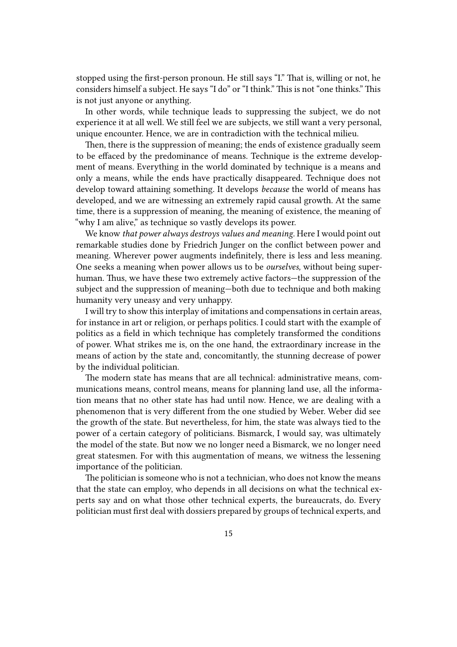stopped using the first-person pronoun. He still says "I." That is, willing or not, he considers himself a subject. He says "I do" or "I think." This is not "one thinks." This is not just anyone or anything.

In other words, while technique leads to suppressing the subject, we do not experience it at all well. We still feel we are subjects, we still want a very personal, unique encounter. Hence, we are in contradiction with the technical milieu.

Then, there is the suppression of meaning; the ends of existence gradually seem to be effaced by the predominance of means. Technique is the extreme development of means. Everything in the world dominated by technique is a means and only a means, while the ends have practically disappeared. Technique does not develop toward attaining something. It develops *because* the world of means has developed, and we are witnessing an extremely rapid causal growth. At the same time, there is a suppression of meaning, the meaning of existence, the meaning of "why I am alive," as technique so vastly develops its power.

We know *that power always destroys values and meaning.* Here I would point out remarkable studies done by Friedrich Junger on the conflict between power and meaning. Wherever power augments indefinitely, there is less and less meaning. One seeks a meaning when power allows us to be *ourselves,* without being superhuman. Thus, we have these two extremely active factors—the suppression of the subject and the suppression of meaning—both due to technique and both making humanity very uneasy and very unhappy.

I will try to show this interplay of imitations and compensations in certain areas, for instance in art or religion, or perhaps politics. I could start with the example of politics as a field in which technique has completely transformed the conditions of power. What strikes me is, on the one hand, the extraordinary increase in the means of action by the state and, concomitantly, the stunning decrease of power by the individual politician.

The modern state has means that are all technical: administrative means, communications means, control means, means for planning land use, all the information means that no other state has had until now. Hence, we are dealing with a phenomenon that is very different from the one studied by Weber. Weber did see the growth of the state. But nevertheless, for him, the state was always tied to the power of a certain category of politicians. Bismarck, I would say, was ultimately the model of the state. But now we no longer need a Bismarck, we no longer need great statesmen. For with this augmentation of means, we witness the lessening importance of the politician.

The politician is someone who is not a technician, who does not know the means that the state can employ, who depends in all decisions on what the technical experts say and on what those other technical experts, the bureaucrats, do. Every politician must first deal with dossiers prepared by groups of technical experts, and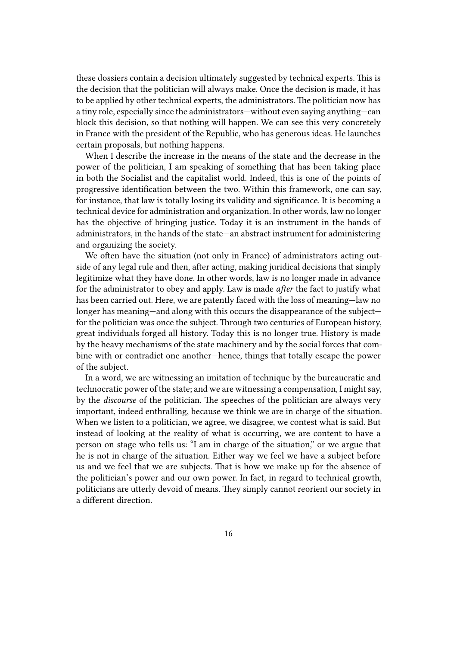these dossiers contain a decision ultimately suggested by technical experts. This is the decision that the politician will always make. Once the decision is made, it has to be applied by other technical experts, the administrators. The politician now has a tiny role, especially since the administrators—without even saying anything—can block this decision, so that nothing will happen. We can see this very concretely in France with the president of the Republic, who has generous ideas. He launches certain proposals, but nothing happens.

When I describe the increase in the means of the state and the decrease in the power of the politician, I am speaking of something that has been taking place in both the Socialist and the capitalist world. Indeed, this is one of the points of progressive identification between the two. Within this framework, one can say, for instance, that law is totally losing its validity and significance. It is becoming a technical device for administration and organization. In other words, law no longer has the objective of bringing justice. Today it is an instrument in the hands of administrators, in the hands of the state—an abstract instrument for administering and organizing the society.

We often have the situation (not only in France) of administrators acting outside of any legal rule and then, after acting, making juridical decisions that simply legitimize what they have done. In other words, law is no longer made in advance for the administrator to obey and apply. Law is made *after* the fact to justify what has been carried out. Here, we are patently faced with the loss of meaning—law no longer has meaning—and along with this occurs the disappearance of the subject for the politician was once the subject. Through two centuries of European history, great individuals forged all history. Today this is no longer true. History is made by the heavy mechanisms of the state machinery and by the social forces that combine with or contradict one another—hence, things that totally escape the power of the subject.

In a word, we are witnessing an imitation of technique by the bureaucratic and technocratic power of the state; and we are witnessing a compensation, I might say, by the *discourse* of the politician. The speeches of the politician are always very important, indeed enthralling, because we think we are in charge of the situation. When we listen to a politician, we agree, we disagree, we contest what is said. But instead of looking at the reality of what is occurring, we are content to have a person on stage who tells us: "I am in charge of the situation," or we argue that he is not in charge of the situation. Either way we feel we have a subject before us and we feel that we are subjects. That is how we make up for the absence of the politician's power and our own power. In fact, in regard to technical growth, politicians are utterly devoid of means. They simply cannot reorient our society in a different direction.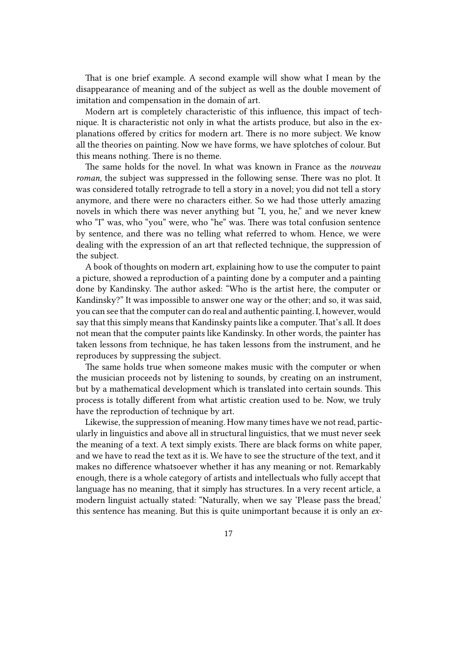That is one brief example. A second example will show what I mean by the disappearance of meaning and of the subject as well as the double movement of imitation and compensation in the domain of art.

Modern art is completely characteristic of this influence, this impact of technique. It is characteristic not only in what the artists produce, but also in the explanations offered by critics for modern art. There is no more subject. We know all the theories on painting. Now we have forms, we have splotches of colour. But this means nothing. There is no theme.

The same holds for the novel. In what was known in France as the *nouveau roman,* the subject was suppressed in the following sense. There was no plot. It was considered totally retrograde to tell a story in a novel; you did not tell a story anymore, and there were no characters either. So we had those utterly amazing novels in which there was never anything but "I, you, he," and we never knew who "I" was, who "you" were, who "he" was. There was total confusion sentence by sentence, and there was no telling what referred to whom. Hence, we were dealing with the expression of an art that reflected technique, the suppression of the subject.

A book of thoughts on modern art, explaining how to use the computer to paint a picture, showed a reproduction of a painting done by a computer and a painting done by Kandinsky. The author asked: "Who is the artist here, the computer or Kandinsky?" It was impossible to answer one way or the other; and so, it was said, you can see that the computer can do real and authentic painting. I, however, would say that this simply means that Kandinsky paints like a computer. That's all. It does not mean that the computer paints like Kandinsky. In other words, the painter has taken lessons from technique, he has taken lessons from the instrument, and he reproduces by suppressing the subject.

The same holds true when someone makes music with the computer or when the musician proceeds not by listening to sounds, by creating on an instrument, but by a mathematical development which is translated into certain sounds. This process is totally different from what artistic creation used to be. Now, we truly have the reproduction of technique by art.

Likewise, the suppression of meaning. How many times have we not read, particularly in linguistics and above all in structural linguistics, that we must never seek the meaning of a text. A text simply exists. There are black forms on white paper, and we have to read the text as it is. We have to see the structure of the text, and it makes no difference whatsoever whether it has any meaning or not. Remarkably enough, there is a whole category of artists and intellectuals who fully accept that language has no meaning, that it simply has structures. In a very recent article, a modern linguist actually stated: "Naturally, when we say 'Please pass the bread,' this sentence has meaning. But this is quite unimportant because it is only an *ex-*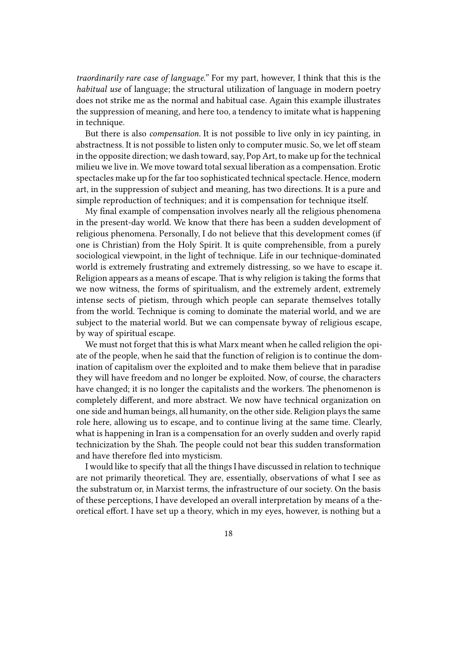*traordinarily rare case of language."* For my part, however, I think that this is the *habitual use* of language; the structural utilization of language in modern poetry does not strike me as the normal and habitual case. Again this example illustrates the suppression of meaning, and here too, a tendency to imitate what is happening in technique.

But there is also *compensation.* It is not possible to live only in icy painting, in abstractness. It is not possible to listen only to computer music. So, we let off steam in the opposite direction; we dash toward, say, Pop Art, to make up for the technical milieu we live in. We move toward total sexual liberation as a compensation. Erotic spectacles make up for the far too sophisticated technical spectacle. Hence, modern art, in the suppression of subject and meaning, has two directions. It is a pure and simple reproduction of techniques; and it is compensation for technique itself.

My final example of compensation involves nearly all the religious phenomena in the present-day world. We know that there has been a sudden development of religious phenomena. Personally, I do not believe that this development comes (if one is Christian) from the Holy Spirit. It is quite comprehensible, from a purely sociological viewpoint, in the light of technique. Life in our technique-dominated world is extremely frustrating and extremely distressing, so we have to escape it. Religion appears as a means of escape. That is why religion is taking the forms that we now witness, the forms of spiritualism, and the extremely ardent, extremely intense sects of pietism, through which people can separate themselves totally from the world. Technique is coming to dominate the material world, and we are subject to the material world. But we can compensate byway of religious escape, by way of spiritual escape.

We must not forget that this is what Marx meant when he called religion the opiate of the people, when he said that the function of religion is to continue the domination of capitalism over the exploited and to make them believe that in paradise they will have freedom and no longer be exploited. Now, of course, the characters have changed; it is no longer the capitalists and the workers. The phenomenon is completely different, and more abstract. We now have technical organization on one side and human beings, all humanity, on the other side. Religion plays the same role here, allowing us to escape, and to continue living at the same time. Clearly, what is happening in Iran is a compensation for an overly sudden and overly rapid technicization by the Shah. The people could not bear this sudden transformation and have therefore fled into mysticism.

I would like to specify that all the things I have discussed in relation to technique are not primarily theoretical. They are, essentially, observations of what I see as the substratum or, in Marxist terms, the infrastructure of our society. On the basis of these perceptions, I have developed an overall interpretation by means of a theoretical effort. I have set up a theory, which in my eyes, however, is nothing but a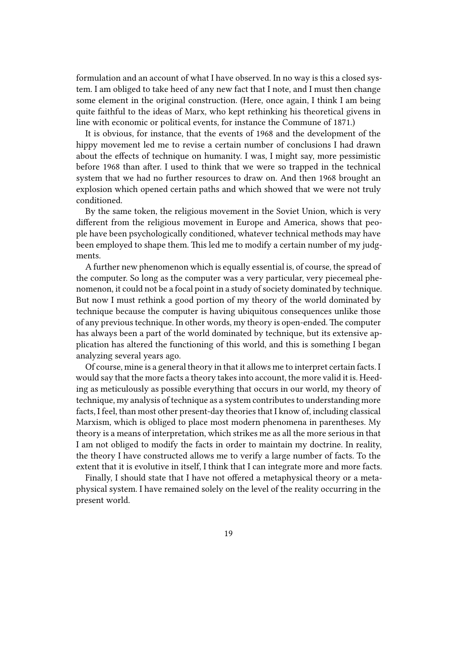formulation and an account of what I have observed. In no way is this a closed system. I am obliged to take heed of any new fact that I note, and I must then change some element in the original construction. (Here, once again, I think I am being quite faithful to the ideas of Marx, who kept rethinking his theoretical givens in line with economic or political events, for instance the Commune of 1871.)

It is obvious, for instance, that the events of 1968 and the development of the hippy movement led me to revise a certain number of conclusions I had drawn about the effects of technique on humanity. I was, I might say, more pessimistic before 1968 than after. I used to think that we were so trapped in the technical system that we had no further resources to draw on. And then 1968 brought an explosion which opened certain paths and which showed that we were not truly conditioned.

By the same token, the religious movement in the Soviet Union, which is very different from the religious movement in Europe and America, shows that people have been psychologically conditioned, whatever technical methods may have been employed to shape them. This led me to modify a certain number of my judgments.

A further new phenomenon which is equally essential is, of course, the spread of the computer. So long as the computer was a very particular, very piecemeal phenomenon, it could not be a focal point in a study of society dominated by technique. But now I must rethink a good portion of my theory of the world dominated by technique because the computer is having ubiquitous consequences unlike those of any previous technique. In other words, my theory is open-ended. The computer has always been a part of the world dominated by technique, but its extensive application has altered the functioning of this world, and this is something I began analyzing several years ago.

Of course, mine is a general theory in that it allows me to interpret certain facts. I would say that the more facts a theory takes into account, the more valid it is. Heeding as meticulously as possible everything that occurs in our world, my theory of technique, my analysis of technique as a system contributes to understanding more facts, I feel, than most other present-day theories that I know of, including classical Marxism, which is obliged to place most modern phenomena in parentheses. My theory is a means of interpretation, which strikes me as all the more serious in that I am not obliged to modify the facts in order to maintain my doctrine. In reality, the theory I have constructed allows me to verify a large number of facts. To the extent that it is evolutive in itself, I think that I can integrate more and more facts.

Finally, I should state that I have not offered a metaphysical theory or a metaphysical system. I have remained solely on the level of the reality occurring in the present world.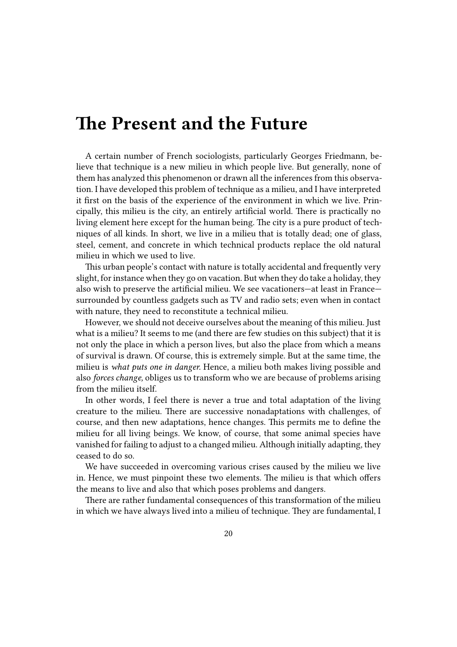#### **The Present and the Future**

A certain number of French sociologists, particularly Georges Friedmann, believe that technique is a new milieu in which people live. But generally, none of them has analyzed this phenomenon or drawn all the inferences from this observation. I have developed this problem of technique as a milieu, and I have interpreted it first on the basis of the experience of the environment in which we live. Principally, this milieu is the city, an entirely artificial world. There is practically no living element here except for the human being. The city is a pure product of techniques of all kinds. In short, we live in a milieu that is totally dead; one of glass, steel, cement, and concrete in which technical products replace the old natural milieu in which we used to live.

This urban people's contact with nature is totally accidental and frequently very slight, for instance when they go on vacation. But when they do take a holiday, they also wish to preserve the artificial milieu. We see vacationers—at least in France surrounded by countless gadgets such as TV and radio sets; even when in contact with nature, they need to reconstitute a technical milieu.

However, we should not deceive ourselves about the meaning of this milieu. Just what is a milieu? It seems to me (and there are few studies on this subject) that it is not only the place in which a person lives, but also the place from which a means of survival is drawn. Of course, this is extremely simple. But at the same time, the milieu is *what puts one in danger.* Hence, a milieu both makes living possible and also *forces change,* obliges us to transform who we are because of problems arising from the milieu itself.

In other words, I feel there is never a true and total adaptation of the living creature to the milieu. There are successive nonadaptations with challenges, of course, and then new adaptations, hence changes. This permits me to define the milieu for all living beings. We know, of course, that some animal species have vanished for failing to adjust to a changed milieu. Although initially adapting, they ceased to do so.

We have succeeded in overcoming various crises caused by the milieu we live in. Hence, we must pinpoint these two elements. The milieu is that which offers the means to live and also that which poses problems and dangers.

There are rather fundamental consequences of this transformation of the milieu in which we have always lived into a milieu of technique. They are fundamental, I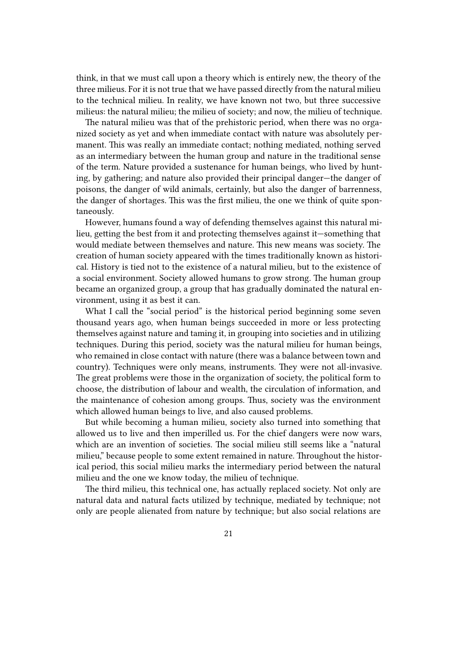think, in that we must call upon a theory which is entirely new, the theory of the three milieus. For it is not true that we have passed directly from the natural milieu to the technical milieu. In reality, we have known not two, but three successive milieus: the natural milieu; the milieu of society; and now, the milieu of technique.

The natural milieu was that of the prehistoric period, when there was no organized society as yet and when immediate contact with nature was absolutely permanent. This was really an immediate contact; nothing mediated, nothing served as an intermediary between the human group and nature in the traditional sense of the term. Nature provided a sustenance for human beings, who lived by hunting, by gathering; and nature also provided their principal danger—the danger of poisons, the danger of wild animals, certainly, but also the danger of barrenness, the danger of shortages. This was the first milieu, the one we think of quite spontaneously.

However, humans found a way of defending themselves against this natural milieu, getting the best from it and protecting themselves against it—something that would mediate between themselves and nature. This new means was society. The creation of human society appeared with the times traditionally known as historical. History is tied not to the existence of a natural milieu, but to the existence of a social environment. Society allowed humans to grow strong. The human group became an organized group, a group that has gradually dominated the natural environment, using it as best it can.

What I call the "social period" is the historical period beginning some seven thousand years ago, when human beings succeeded in more or less protecting themselves against nature and taming it, in grouping into societies and in utilizing techniques. During this period, society was the natural milieu for human beings, who remained in close contact with nature (there was a balance between town and country). Techniques were only means, instruments. They were not all-invasive. The great problems were those in the organization of society, the political form to choose, the distribution of labour and wealth, the circulation of information, and the maintenance of cohesion among groups. Thus, society was the environment which allowed human beings to live, and also caused problems.

But while becoming a human milieu, society also turned into something that allowed us to live and then imperilled us. For the chief dangers were now wars, which are an invention of societies. The social milieu still seems like a "natural milieu," because people to some extent remained in nature. Throughout the historical period, this social milieu marks the intermediary period between the natural milieu and the one we know today, the milieu of technique.

The third milieu, this technical one, has actually replaced society. Not only are natural data and natural facts utilized by technique, mediated by technique; not only are people alienated from nature by technique; but also social relations are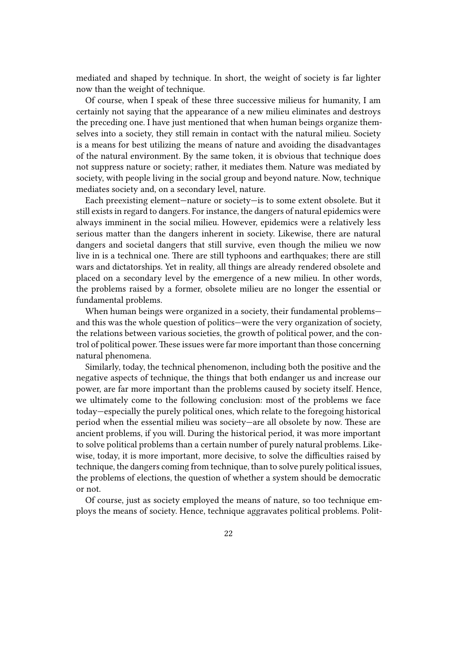mediated and shaped by technique. In short, the weight of society is far lighter now than the weight of technique.

Of course, when I speak of these three successive milieus for humanity, I am certainly not saying that the appearance of a new milieu eliminates and destroys the preceding one. I have just mentioned that when human beings organize themselves into a society, they still remain in contact with the natural milieu. Society is a means for best utilizing the means of nature and avoiding the disadvantages of the natural environment. By the same token, it is obvious that technique does not suppress nature or society; rather, it mediates them. Nature was mediated by society, with people living in the social group and beyond nature. Now, technique mediates society and, on a secondary level, nature.

Each preexisting element—nature or society—is to some extent obsolete. But it still exists in regard to dangers. For instance, the dangers of natural epidemics were always imminent in the social milieu. However, epidemics were a relatively less serious matter than the dangers inherent in society. Likewise, there are natural dangers and societal dangers that still survive, even though the milieu we now live in is a technical one. There are still typhoons and earthquakes; there are still wars and dictatorships. Yet in reality, all things are already rendered obsolete and placed on a secondary level by the emergence of a new milieu. In other words, the problems raised by a former, obsolete milieu are no longer the essential or fundamental problems.

When human beings were organized in a society, their fundamental problems and this was the whole question of politics—were the very organization of society, the relations between various societies, the growth of political power, and the control of political power. These issues were far more important than those concerning natural phenomena.

Similarly, today, the technical phenomenon, including both the positive and the negative aspects of technique, the things that both endanger us and increase our power, are far more important than the problems caused by society itself. Hence, we ultimately come to the following conclusion: most of the problems we face today—especially the purely political ones, which relate to the foregoing historical period when the essential milieu was society—are all obsolete by now. These are ancient problems, if you will. During the historical period, it was more important to solve political problems than a certain number of purely natural problems. Likewise, today, it is more important, more decisive, to solve the difficulties raised by technique, the dangers coming from technique, than to solve purely political issues, the problems of elections, the question of whether a system should be democratic or not.

Of course, just as society employed the means of nature, so too technique employs the means of society. Hence, technique aggravates political problems. Polit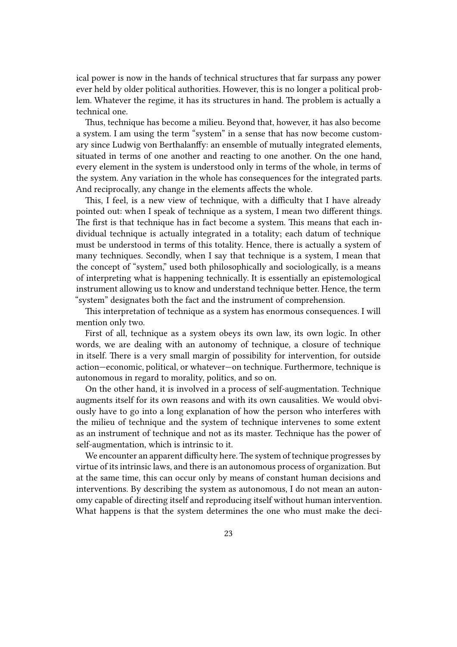ical power is now in the hands of technical structures that far surpass any power ever held by older political authorities. However, this is no longer a political problem. Whatever the regime, it has its structures in hand. The problem is actually a technical one.

Thus, technique has become a milieu. Beyond that, however, it has also become a system. I am using the term "system" in a sense that has now become customary since Ludwig von Berthalanffy: an ensemble of mutually integrated elements, situated in terms of one another and reacting to one another. On the one hand, every element in the system is understood only in terms of the whole, in terms of the system. Any variation in the whole has consequences for the integrated parts. And reciprocally, any change in the elements affects the whole.

This, I feel, is a new view of technique, with a difficulty that I have already pointed out: when I speak of technique as a system, I mean two different things. The first is that technique has in fact become a system. This means that each individual technique is actually integrated in a totality; each datum of technique must be understood in terms of this totality. Hence, there is actually a system of many techniques. Secondly, when I say that technique is a system, I mean that the concept of "system," used both philosophically and sociologically, is a means of interpreting what is happening technically. It is essentially an epistemological instrument allowing us to know and understand technique better. Hence, the term "system" designates both the fact and the instrument of comprehension.

This interpretation of technique as a system has enormous consequences. I will mention only two.

First of all, technique as a system obeys its own law, its own logic. In other words, we are dealing with an autonomy of technique, a closure of technique in itself. There is a very small margin of possibility for intervention, for outside action—economic, political, or whatever—on technique. Furthermore, technique is autonomous in regard to morality, politics, and so on.

On the other hand, it is involved in a process of self-augmentation. Technique augments itself for its own reasons and with its own causalities. We would obviously have to go into a long explanation of how the person who interferes with the milieu of technique and the system of technique intervenes to some extent as an instrument of technique and not as its master. Technique has the power of self-augmentation, which is intrinsic to it.

We encounter an apparent difficulty here. The system of technique progresses by virtue of its intrinsic laws, and there is an autonomous process of organization. But at the same time, this can occur only by means of constant human decisions and interventions. By describing the system as autonomous, I do not mean an autonomy capable of directing itself and reproducing itself without human intervention. What happens is that the system determines the one who must make the deci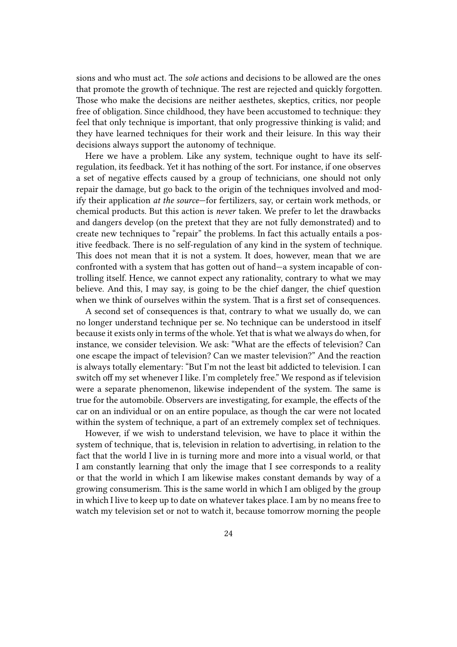sions and who must act. The *sole* actions and decisions to be allowed are the ones that promote the growth of technique. The rest are rejected and quickly forgotten. Those who make the decisions are neither aesthetes, skeptics, critics, nor people free of obligation. Since childhood, they have been accustomed to technique: they feel that only technique is important, that only progressive thinking is valid; and they have learned techniques for their work and their leisure. In this way their decisions always support the autonomy of technique.

Here we have a problem. Like any system, technique ought to have its selfregulation, its feedback. Yet it has nothing of the sort. For instance, if one observes a set of negative effects caused by a group of technicians, one should not only repair the damage, but go back to the origin of the techniques involved and modify their application *at the source*—for fertilizers, say, or certain work methods, or chemical products. But this action is *never* taken. We prefer to let the drawbacks and dangers develop (on the pretext that they are not fully demonstrated) and to create new techniques to "repair" the problems. In fact this actually entails a positive feedback. There is no self-regulation of any kind in the system of technique. This does not mean that it is not a system. It does, however, mean that we are confronted with a system that has gotten out of hand—a system incapable of controlling itself. Hence, we cannot expect any rationality, contrary to what we may believe. And this, I may say, is going to be the chief danger, the chief question when we think of ourselves within the system. That is a first set of consequences.

A second set of consequences is that, contrary to what we usually do, we can no longer understand technique per se. No technique can be understood in itself because it exists only in terms of the whole. Yet that is what we always do when, for instance, we consider television. We ask: "What are the effects of television? Can one escape the impact of television? Can we master television?" And the reaction is always totally elementary: "But I'm not the least bit addicted to television. I can switch off my set whenever I like. I'm completely free." We respond as if television were a separate phenomenon, likewise independent of the system. The same is true for the automobile. Observers are investigating, for example, the effects of the car on an individual or on an entire populace, as though the car were not located within the system of technique, a part of an extremely complex set of techniques.

However, if we wish to understand television, we have to place it within the system of technique, that is, television in relation to advertising, in relation to the fact that the world I live in is turning more and more into a visual world, or that I am constantly learning that only the image that I see corresponds to a reality or that the world in which I am likewise makes constant demands by way of a growing consumerism. This is the same world in which I am obliged by the group in which I live to keep up to date on whatever takes place. I am by no means free to watch my television set or not to watch it, because tomorrow morning the people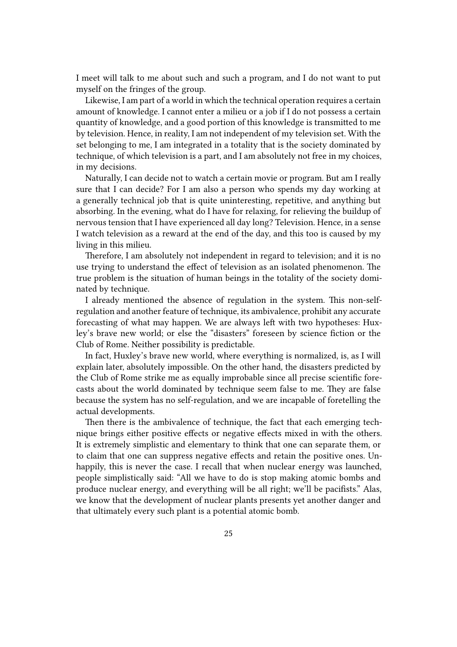I meet will talk to me about such and such a program, and I do not want to put myself on the fringes of the group.

Likewise, I am part of a world in which the technical operation requires a certain amount of knowledge. I cannot enter a milieu or a job if I do not possess a certain quantity of knowledge, and a good portion of this knowledge is transmitted to me by television. Hence, in reality, I am not independent of my television set. With the set belonging to me, I am integrated in a totality that is the society dominated by technique, of which television is a part, and I am absolutely not free in my choices, in my decisions.

Naturally, I can decide not to watch a certain movie or program. But am I really sure that I can decide? For I am also a person who spends my day working at a generally technical job that is quite uninteresting, repetitive, and anything but absorbing. In the evening, what do I have for relaxing, for relieving the buildup of nervous tension that I have experienced all day long? Television. Hence, in a sense I watch television as a reward at the end of the day, and this too is caused by my living in this milieu.

Therefore, I am absolutely not independent in regard to television; and it is no use trying to understand the effect of television as an isolated phenomenon. The true problem is the situation of human beings in the totality of the society dominated by technique.

I already mentioned the absence of regulation in the system. This non-selfregulation and another feature of technique, its ambivalence, prohibit any accurate forecasting of what may happen. We are always left with two hypotheses: Huxley's brave new world; or else the "disasters" foreseen by science fiction or the Club of Rome. Neither possibility is predictable.

In fact, Huxley's brave new world, where everything is normalized, is, as I will explain later, absolutely impossible. On the other hand, the disasters predicted by the Club of Rome strike me as equally improbable since all precise scientific forecasts about the world dominated by technique seem false to me. They are false because the system has no self-regulation, and we are incapable of foretelling the actual developments.

Then there is the ambivalence of technique, the fact that each emerging technique brings either positive effects or negative effects mixed in with the others. It is extremely simplistic and elementary to think that one can separate them, or to claim that one can suppress negative effects and retain the positive ones. Unhappily, this is never the case. I recall that when nuclear energy was launched, people simplistically said: "All we have to do is stop making atomic bombs and produce nuclear energy, and everything will be all right; we'll be pacifists." Alas, we know that the development of nuclear plants presents yet another danger and that ultimately every such plant is a potential atomic bomb.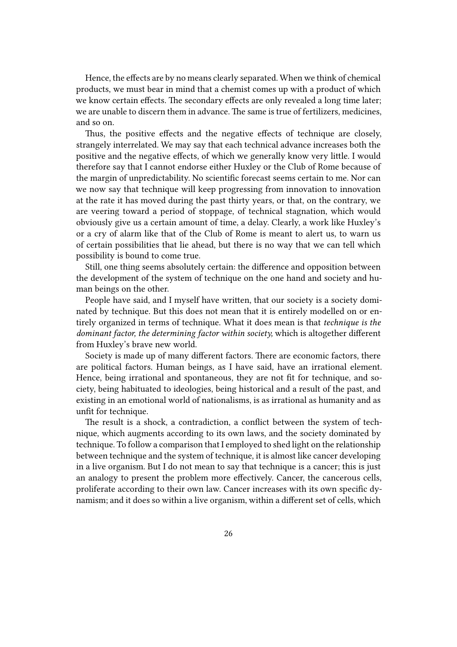Hence, the effects are by no means clearly separated. When we think of chemical products, we must bear in mind that a chemist comes up with a product of which we know certain effects. The secondary effects are only revealed a long time later; we are unable to discern them in advance. The same is true of fertilizers, medicines, and so on.

Thus, the positive effects and the negative effects of technique are closely, strangely interrelated. We may say that each technical advance increases both the positive and the negative effects, of which we generally know very little. I would therefore say that I cannot endorse either Huxley or the Club of Rome because of the margin of unpredictability. No scientific forecast seems certain to me. Nor can we now say that technique will keep progressing from innovation to innovation at the rate it has moved during the past thirty years, or that, on the contrary, we are veering toward a period of stoppage, of technical stagnation, which would obviously give us a certain amount of time, a delay. Clearly, a work like Huxley's or a cry of alarm like that of the Club of Rome is meant to alert us, to warn us of certain possibilities that lie ahead, but there is no way that we can tell which possibility is bound to come true.

Still, one thing seems absolutely certain: the difference and opposition between the development of the system of technique on the one hand and society and human beings on the other.

People have said, and I myself have written, that our society is a society dominated by technique. But this does not mean that it is entirely modelled on or entirely organized in terms of technique. What it does mean is that *technique is the dominant factor, the determining factor within society,* which is altogether different from Huxley's brave new world.

Society is made up of many different factors. There are economic factors, there are political factors. Human beings, as I have said, have an irrational element. Hence, being irrational and spontaneous, they are not fit for technique, and society, being habituated to ideologies, being historical and a result of the past, and existing in an emotional world of nationalisms, is as irrational as humanity and as unfit for technique.

The result is a shock, a contradiction, a conflict between the system of technique, which augments according to its own laws, and the society dominated by technique. To follow a comparison that I employed to shed light on the relationship between technique and the system of technique, it is almost like cancer developing in a live organism. But I do not mean to say that technique is a cancer; this is just an analogy to present the problem more effectively. Cancer, the cancerous cells, proliferate according to their own law. Cancer increases with its own specific dynamism; and it does so within a live organism, within a different set of cells, which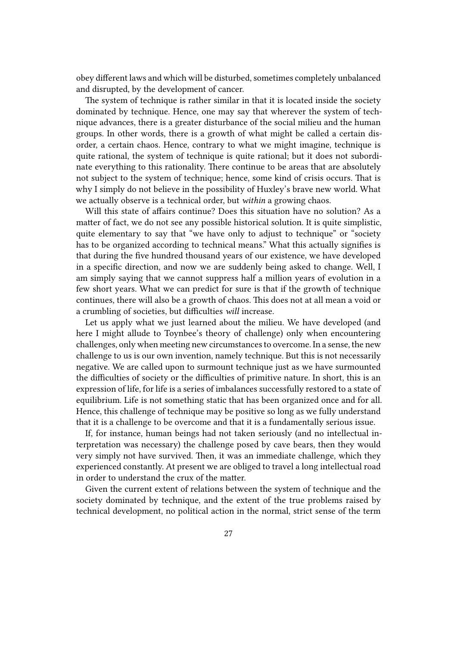obey different laws and which will be disturbed, sometimes completely unbalanced and disrupted, by the development of cancer.

The system of technique is rather similar in that it is located inside the society dominated by technique. Hence, one may say that wherever the system of technique advances, there is a greater disturbance of the social milieu and the human groups. In other words, there is a growth of what might be called a certain disorder, a certain chaos. Hence, contrary to what we might imagine, technique is quite rational, the system of technique is quite rational; but it does not subordinate everything to this rationality. There continue to be areas that are absolutely not subject to the system of technique; hence, some kind of crisis occurs. That is why I simply do not believe in the possibility of Huxley's brave new world. What we actually observe is a technical order, but *within* a growing chaos.

Will this state of affairs continue? Does this situation have no solution? As a matter of fact, we do not see any possible historical solution. It is quite simplistic, quite elementary to say that "we have only to adjust to technique" or "society has to be organized according to technical means." What this actually signifies is that during the five hundred thousand years of our existence, we have developed in a specific direction, and now we are suddenly being asked to change. Well, I am simply saying that we cannot suppress half a million years of evolution in a few short years. What we can predict for sure is that if the growth of technique continues, there will also be a growth of chaos. This does not at all mean a void or a crumbling of societies, but difficulties *will* increase.

Let us apply what we just learned about the milieu. We have developed (and here I might allude to Toynbee's theory of challenge) only when encountering challenges, only when meeting new circumstances to overcome. In a sense, the new challenge to us is our own invention, namely technique. But this is not necessarily negative. We are called upon to surmount technique just as we have surmounted the difficulties of society or the difficulties of primitive nature. In short, this is an expression of life, for life is a series of imbalances successfully restored to a state of equilibrium. Life is not something static that has been organized once and for all. Hence, this challenge of technique may be positive so long as we fully understand that it is a challenge to be overcome and that it is a fundamentally serious issue.

If, for instance, human beings had not taken seriously (and no intellectual interpretation was necessary) the challenge posed by cave bears, then they would very simply not have survived. Then, it was an immediate challenge, which they experienced constantly. At present we are obliged to travel a long intellectual road in order to understand the crux of the matter.

Given the current extent of relations between the system of technique and the society dominated by technique, and the extent of the true problems raised by technical development, no political action in the normal, strict sense of the term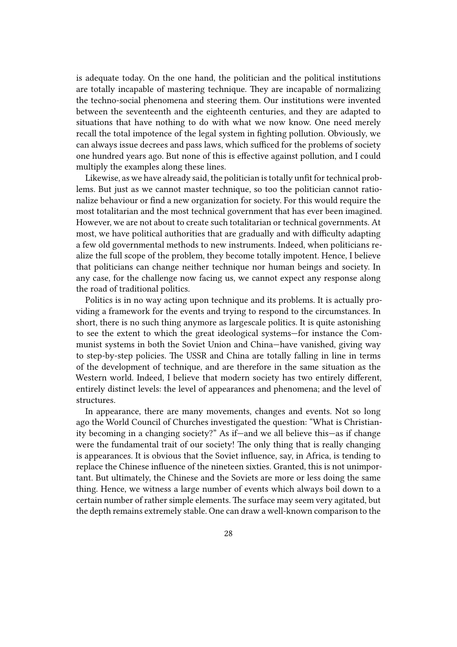is adequate today. On the one hand, the politician and the political institutions are totally incapable of mastering technique. They are incapable of normalizing the techno-social phenomena and steering them. Our institutions were invented between the seventeenth and the eighteenth centuries, and they are adapted to situations that have nothing to do with what we now know. One need merely recall the total impotence of the legal system in fighting pollution. Obviously, we can always issue decrees and pass laws, which sufficed for the problems of society one hundred years ago. But none of this is effective against pollution, and I could multiply the examples along these lines.

Likewise, as we have already said, the politician is totally unfit for technical problems. But just as we cannot master technique, so too the politician cannot rationalize behaviour or find a new organization for society. For this would require the most totalitarian and the most technical government that has ever been imagined. However, we are not about to create such totalitarian or technical governments. At most, we have political authorities that are gradually and with difficulty adapting a few old governmental methods to new instruments. Indeed, when politicians realize the full scope of the problem, they become totally impotent. Hence, I believe that politicians can change neither technique nor human beings and society. In any case, for the challenge now facing us, we cannot expect any response along the road of traditional politics.

Politics is in no way acting upon technique and its problems. It is actually providing a framework for the events and trying to respond to the circumstances. In short, there is no such thing anymore as largescale politics. It is quite astonishing to see the extent to which the great ideological systems—for instance the Communist systems in both the Soviet Union and China—have vanished, giving way to step-by-step policies. The USSR and China are totally falling in line in terms of the development of technique, and are therefore in the same situation as the Western world. Indeed, I believe that modern society has two entirely different, entirely distinct levels: the level of appearances and phenomena; and the level of structures.

In appearance, there are many movements, changes and events. Not so long ago the World Council of Churches investigated the question: "What is Christianity becoming in a changing society?" As if—and we all believe this—as if change were the fundamental trait of our society! The only thing that is really changing is appearances. It is obvious that the Soviet influence, say, in Africa, is tending to replace the Chinese influence of the nineteen sixties. Granted, this is not unimportant. But ultimately, the Chinese and the Soviets are more or less doing the same thing. Hence, we witness a large number of events which always boil down to a certain number of rather simple elements. The surface may seem very agitated, but the depth remains extremely stable. One can draw a well-known comparison to the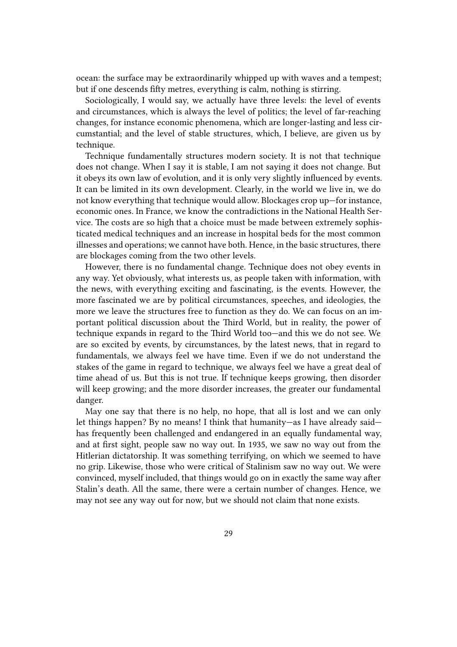ocean: the surface may be extraordinarily whipped up with waves and a tempest; but if one descends fifty metres, everything is calm, nothing is stirring.

Sociologically, I would say, we actually have three levels: the level of events and circumstances, which is always the level of politics; the level of far-reaching changes, for instance economic phenomena, which are longer-lasting and less circumstantial; and the level of stable structures, which, I believe, are given us by technique.

Technique fundamentally structures modern society. It is not that technique does not change. When I say it is stable, I am not saying it does not change. But it obeys its own law of evolution, and it is only very slightly influenced by events. It can be limited in its own development. Clearly, in the world we live in, we do not know everything that technique would allow. Blockages crop up—for instance, economic ones. In France, we know the contradictions in the National Health Service. The costs are so high that a choice must be made between extremely sophisticated medical techniques and an increase in hospital beds for the most common illnesses and operations; we cannot have both. Hence, in the basic structures, there are blockages coming from the two other levels.

However, there is no fundamental change. Technique does not obey events in any way. Yet obviously, what interests us, as people taken with information, with the news, with everything exciting and fascinating, is the events. However, the more fascinated we are by political circumstances, speeches, and ideologies, the more we leave the structures free to function as they do. We can focus on an important political discussion about the Third World, but in reality, the power of technique expands in regard to the Third World too—and this we do not see. We are so excited by events, by circumstances, by the latest news, that in regard to fundamentals, we always feel we have time. Even if we do not understand the stakes of the game in regard to technique, we always feel we have a great deal of time ahead of us. But this is not true. If technique keeps growing, then disorder will keep growing; and the more disorder increases, the greater our fundamental danger.

May one say that there is no help, no hope, that all is lost and we can only let things happen? By no means! I think that humanity—as I have already said has frequently been challenged and endangered in an equally fundamental way, and at first sight, people saw no way out. In 1935, we saw no way out from the Hitlerian dictatorship. It was something terrifying, on which we seemed to have no grip. Likewise, those who were critical of Stalinism saw no way out. We were convinced, myself included, that things would go on in exactly the same way after Stalin's death. All the same, there were a certain number of changes. Hence, we may not see any way out for now, but we should not claim that none exists.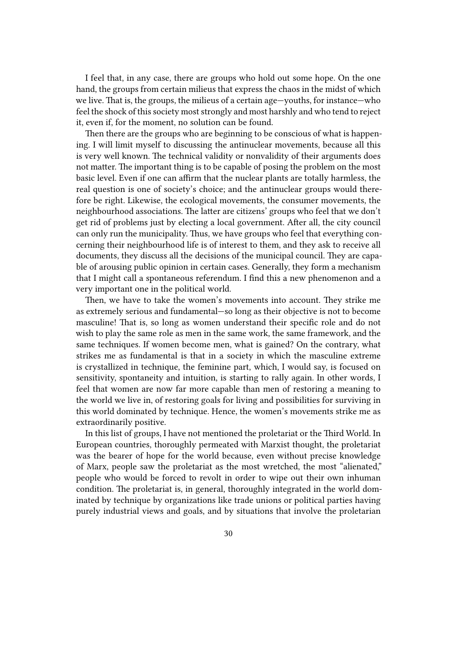I feel that, in any case, there are groups who hold out some hope. On the one hand, the groups from certain milieus that express the chaos in the midst of which we live. That is, the groups, the milieus of a certain age—youths, for instance—who feel the shock of this society most strongly and most harshly and who tend to reject it, even if, for the moment, no solution can be found.

Then there are the groups who are beginning to be conscious of what is happening. I will limit myself to discussing the antinuclear movements, because all this is very well known. The technical validity or nonvalidity of their arguments does not matter. The important thing is to be capable of posing the problem on the most basic level. Even if one can affirm that the nuclear plants are totally harmless, the real question is one of society's choice; and the antinuclear groups would therefore be right. Likewise, the ecological movements, the consumer movements, the neighbourhood associations. The latter are citizens' groups who feel that we don't get rid of problems just by electing a local government. After all, the city council can only run the municipality. Thus, we have groups who feel that everything concerning their neighbourhood life is of interest to them, and they ask to receive all documents, they discuss all the decisions of the municipal council. They are capable of arousing public opinion in certain cases. Generally, they form a mechanism that I might call a spontaneous referendum. I find this a new phenomenon and a very important one in the political world.

Then, we have to take the women's movements into account. They strike me as extremely serious and fundamental—so long as their objective is not to become masculine! That is, so long as women understand their specific role and do not wish to play the same role as men in the same work, the same framework, and the same techniques. If women become men, what is gained? On the contrary, what strikes me as fundamental is that in a society in which the masculine extreme is crystallized in technique, the feminine part, which, I would say, is focused on sensitivity, spontaneity and intuition, is starting to rally again. In other words, I feel that women are now far more capable than men of restoring a meaning to the world we live in, of restoring goals for living and possibilities for surviving in this world dominated by technique. Hence, the women's movements strike me as extraordinarily positive.

In this list of groups, I have not mentioned the proletariat or the Third World. In European countries, thoroughly permeated with Marxist thought, the proletariat was the bearer of hope for the world because, even without precise knowledge of Marx, people saw the proletariat as the most wretched, the most "alienated," people who would be forced to revolt in order to wipe out their own inhuman condition. The proletariat is, in general, thoroughly integrated in the world dominated by technique by organizations like trade unions or political parties having purely industrial views and goals, and by situations that involve the proletarian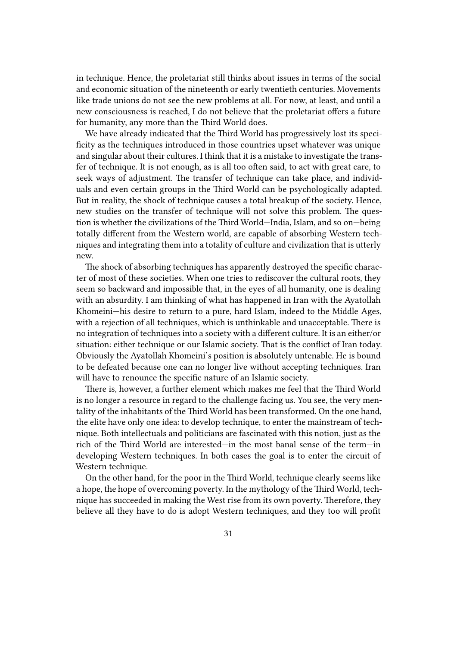in technique. Hence, the proletariat still thinks about issues in terms of the social and economic situation of the nineteenth or early twentieth centuries. Movements like trade unions do not see the new problems at all. For now, at least, and until a new consciousness is reached, I do not believe that the proletariat offers a future for humanity, any more than the Third World does.

We have already indicated that the Third World has progressively lost its specificity as the techniques introduced in those countries upset whatever was unique and singular about their cultures. I think that it is a mistake to investigate the transfer of technique. It is not enough, as is all too often said, to act with great care, to seek ways of adjustment. The transfer of technique can take place, and individuals and even certain groups in the Third World can be psychologically adapted. But in reality, the shock of technique causes a total breakup of the society. Hence, new studies on the transfer of technique will not solve this problem. The question is whether the civilizations of the Third World—India, Islam, and so on—being totally different from the Western world, are capable of absorbing Western techniques and integrating them into a totality of culture and civilization that is utterly new.

The shock of absorbing techniques has apparently destroyed the specific character of most of these societies. When one tries to rediscover the cultural roots, they seem so backward and impossible that, in the eyes of all humanity, one is dealing with an absurdity. I am thinking of what has happened in Iran with the Ayatollah Khomeini—his desire to return to a pure, hard Islam, indeed to the Middle Ages, with a rejection of all techniques, which is unthinkable and unacceptable. There is no integration of techniques into a society with a different culture. It is an either/or situation: either technique or our Islamic society. That is the conflict of Iran today. Obviously the Ayatollah Khomeini's position is absolutely untenable. He is bound to be defeated because one can no longer live without accepting techniques. Iran will have to renounce the specific nature of an Islamic society.

There is, however, a further element which makes me feel that the Third World is no longer a resource in regard to the challenge facing us. You see, the very mentality of the inhabitants of the Third World has been transformed. On the one hand, the elite have only one idea: to develop technique, to enter the mainstream of technique. Both intellectuals and politicians are fascinated with this notion, just as the rich of the Third World are interested—in the most banal sense of the term—in developing Western techniques. In both cases the goal is to enter the circuit of Western technique.

On the other hand, for the poor in the Third World, technique clearly seems like a hope, the hope of overcoming poverty. In the mythology of the Third World, technique has succeeded in making the West rise from its own poverty. Therefore, they believe all they have to do is adopt Western techniques, and they too will profit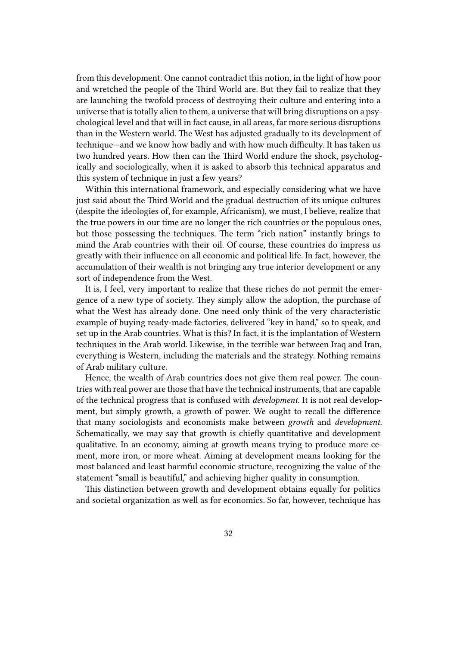from this development. One cannot contradict this notion, in the light of how poor and wretched the people of the Third World are. But they fail to realize that they are launching the twofold process of destroying their culture and entering into a universe that is totally alien to them, a universe that will bring disruptions on a psychological level and that will in fact cause, in all areas, far more serious disruptions than in the Western world. The West has adjusted gradually to its development of technique—and we know how badly and with how much difficulty. It has taken us two hundred years. How then can the Third World endure the shock, psychologically and sociologically, when it is asked to absorb this technical apparatus and this system of technique in just a few years?

Within this international framework, and especially considering what we have just said about the Third World and the gradual destruction of its unique cultures (despite the ideologies of, for example, Africanism), we must, I believe, realize that the true powers in our time are no longer the rich countries or the populous ones, but those possessing the techniques. The term "rich nation" instantly brings to mind the Arab countries with their oil. Of course, these countries do impress us greatly with their influence on all economic and political life. In fact, however, the accumulation of their wealth is not bringing any true interior development or any sort of independence from the West.

It is, I feel, very important to realize that these riches do not permit the emergence of a new type of society. They simply allow the adoption, the purchase of what the West has already done. One need only think of the very characteristic example of buying ready-made factories, delivered "key in hand," so to speak, and set up in the Arab countries. What is this? In fact, it is the implantation of Western techniques in the Arab world. Likewise, in the terrible war between Iraq and Iran, everything is Western, including the materials and the strategy. Nothing remains of Arab military culture.

Hence, the wealth of Arab countries does not give them real power. The countries with real power are those that have the technical instruments, that are capable of the technical progress that is confused with *development.* It is not real development, but simply growth, a growth of power. We ought to recall the difference that many sociologists and economists make between *growth* and *development.* Schematically, we may say that growth is chiefly quantitative and development qualitative. In an economy, aiming at growth means trying to produce more cement, more iron, or more wheat. Aiming at development means looking for the most balanced and least harmful economic structure, recognizing the value of the statement "small is beautiful," and achieving higher quality in consumption.

This distinction between growth and development obtains equally for politics and societal organization as well as for economics. So far, however, technique has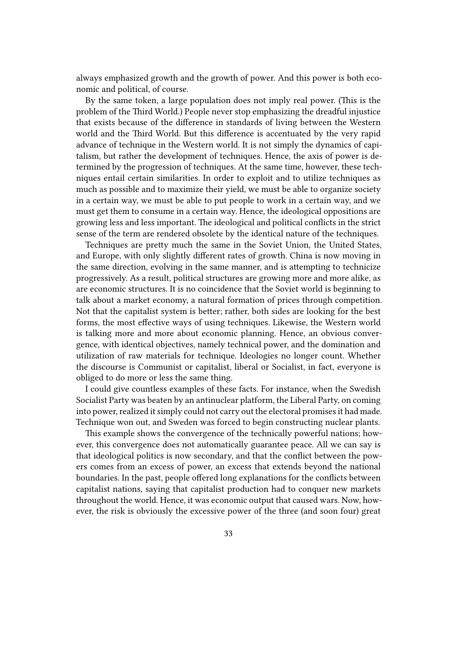always emphasized growth and the growth of power. And this power is both economic and political, of course.

By the same token, a large population does not imply real power. (This is the problem of the Third World.) People never stop emphasizing the dreadful injustice that exists because of the difference in standards of living between the Western world and the Third World. But this difference is accentuated by the very rapid advance of technique in the Western world. It is not simply the dynamics of capitalism, but rather the development of techniques. Hence, the axis of power is determined by the progression of techniques. At the same time, however, these techniques entail certain similarities. In order to exploit and to utilize techniques as much as possible and to maximize their yield, we must be able to organize society in a certain way, we must be able to put people to work in a certain way, and we must get them to consume in a certain way. Hence, the ideological oppositions are growing less and less important. The ideological and political conflicts in the strict sense of the term are rendered obsolete by the identical nature of the techniques.

Techniques are pretty much the same in the Soviet Union, the United States, and Europe, with only slightly different rates of growth. China is now moving in the same direction, evolving in the same manner, and is attempting to technicize progressively. As a result, political structures are growing more and more alike, as are economic structures. It is no coincidence that the Soviet world is beginning to talk about a market economy, a natural formation of prices through competition. Not that the capitalist system is better; rather, both sides are looking for the best forms, the most effective ways of using techniques. Likewise, the Western world is talking more and more about economic planning. Hence, an obvious convergence, with identical objectives, namely technical power, and the domination and utilization of raw materials for technique. Ideologies no longer count. Whether the discourse is Communist or capitalist, liberal or Socialist, in fact, everyone is obliged to do more or less the same thing.

I could give countless examples of these facts. For instance, when the Swedish Socialist Party was beaten by an antinuclear platform, the Liberal Party, on coming into power, realized it simply could not carry out the electoral promises it had made. Technique won out, and Sweden was forced to begin constructing nuclear plants.

This example shows the convergence of the technically powerful nations; however, this convergence does not automatically guarantee peace. All we can say is that ideological politics is now secondary, and that the conflict between the powers comes from an excess of power, an excess that extends beyond the national boundaries. In the past, people offered long explanations for the conflicts between capitalist nations, saying that capitalist production had to conquer new markets throughout the world. Hence, it was economic output that caused wars. Now, however, the risk is obviously the excessive power of the three (and soon four) great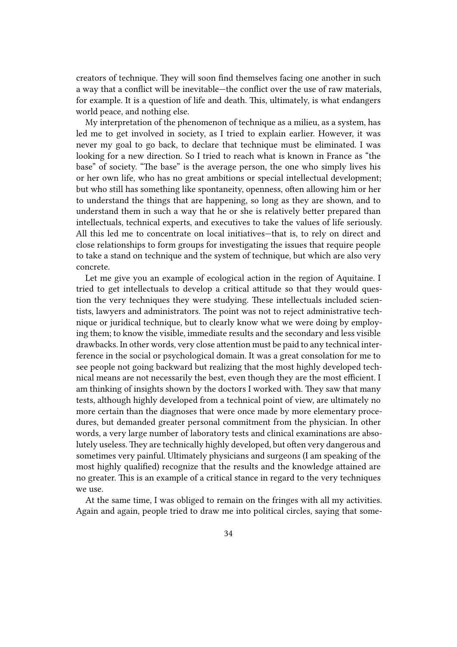creators of technique. They will soon find themselves facing one another in such a way that a conflict will be inevitable—the conflict over the use of raw materials, for example. It is a question of life and death. This, ultimately, is what endangers world peace, and nothing else.

My interpretation of the phenomenon of technique as a milieu, as a system, has led me to get involved in society, as I tried to explain earlier. However, it was never my goal to go back, to declare that technique must be eliminated. I was looking for a new direction. So I tried to reach what is known in France as "the base" of society. "The base" is the average person, the one who simply lives his or her own life, who has no great ambitions or special intellectual development; but who still has something like spontaneity, openness, often allowing him or her to understand the things that are happening, so long as they are shown, and to understand them in such a way that he or she is relatively better prepared than intellectuals, technical experts, and executives to take the values of life seriously. All this led me to concentrate on local initiatives—that is, to rely on direct and close relationships to form groups for investigating the issues that require people to take a stand on technique and the system of technique, but which are also very concrete.

Let me give you an example of ecological action in the region of Aquitaine. I tried to get intellectuals to develop a critical attitude so that they would question the very techniques they were studying. These intellectuals included scientists, lawyers and administrators. The point was not to reject administrative technique or juridical technique, but to clearly know what we were doing by employing them; to know the visible, immediate results and the secondary and less visible drawbacks. In other words, very close attention must be paid to any technical interference in the social or psychological domain. It was a great consolation for me to see people not going backward but realizing that the most highly developed technical means are not necessarily the best, even though they are the most efficient. I am thinking of insights shown by the doctors I worked with. They saw that many tests, although highly developed from a technical point of view, are ultimately no more certain than the diagnoses that were once made by more elementary procedures, but demanded greater personal commitment from the physician. In other words, a very large number of laboratory tests and clinical examinations are absolutely useless. They are technically highly developed, but often very dangerous and sometimes very painful. Ultimately physicians and surgeons (I am speaking of the most highly qualified) recognize that the results and the knowledge attained are no greater. This is an example of a critical stance in regard to the very techniques we use.

At the same time, I was obliged to remain on the fringes with all my activities. Again and again, people tried to draw me into political circles, saying that some-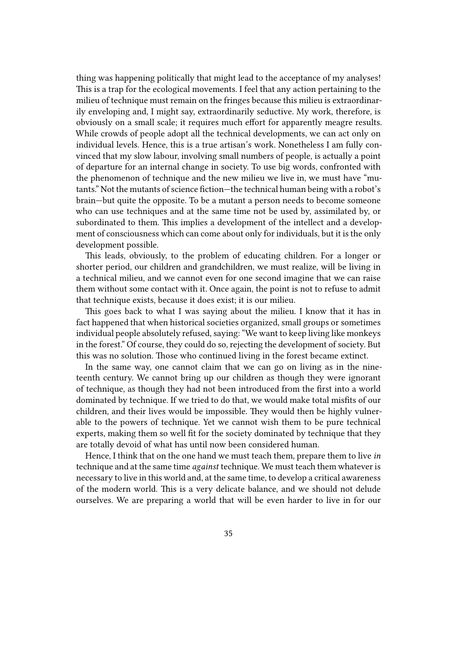thing was happening politically that might lead to the acceptance of my analyses! This is a trap for the ecological movements. I feel that any action pertaining to the milieu of technique must remain on the fringes because this milieu is extraordinarily enveloping and, I might say, extraordinarily seductive. My work, therefore, is obviously on a small scale; it requires much effort for apparently meagre results. While crowds of people adopt all the technical developments, we can act only on individual levels. Hence, this is a true artisan's work. Nonetheless I am fully convinced that my slow labour, involving small numbers of people, is actually a point of departure for an internal change in society. To use big words, confronted with the phenomenon of technique and the new milieu we live in, we must have "mutants." Not the mutants of science fiction—the technical human being with a robot's brain—but quite the opposite. To be a mutant a person needs to become someone who can use techniques and at the same time not be used by, assimilated by, or subordinated to them. This implies a development of the intellect and a development of consciousness which can come about only for individuals, but it is the only development possible.

This leads, obviously, to the problem of educating children. For a longer or shorter period, our children and grandchildren, we must realize, will be living in a technical milieu, and we cannot even for one second imagine that we can raise them without some contact with it. Once again, the point is not to refuse to admit that technique exists, because it does exist; it is our milieu.

This goes back to what I was saying about the milieu. I know that it has in fact happened that when historical societies organized, small groups or sometimes individual people absolutely refused, saying: "We want to keep living like monkeys in the forest." Of course, they could do so, rejecting the development of society. But this was no solution. Those who continued living in the forest became extinct.

In the same way, one cannot claim that we can go on living as in the nineteenth century. We cannot bring up our children as though they were ignorant of technique, as though they had not been introduced from the first into a world dominated by technique. If we tried to do that, we would make total misfits of our children, and their lives would be impossible. They would then be highly vulnerable to the powers of technique. Yet we cannot wish them to be pure technical experts, making them so well fit for the society dominated by technique that they are totally devoid of what has until now been considered human.

Hence, I think that on the one hand we must teach them, prepare them to live *in* technique and at the same time *against* technique. We must teach them whatever is necessary to live in this world and, at the same time, to develop a critical awareness of the modern world. This is a very delicate balance, and we should not delude ourselves. We are preparing a world that will be even harder to live in for our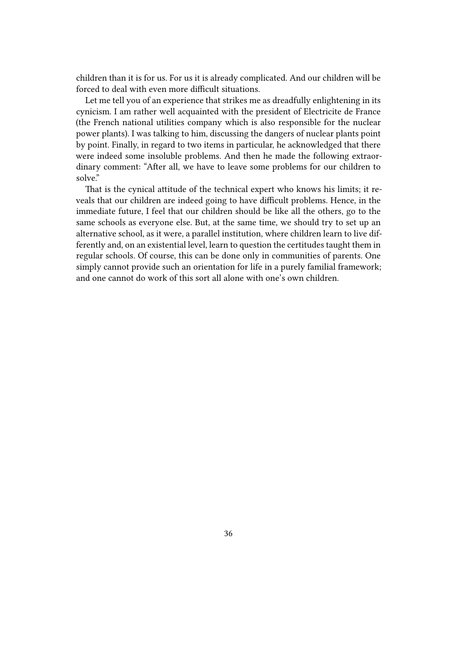children than it is for us. For us it is already complicated. And our children will be forced to deal with even more difficult situations.

Let me tell you of an experience that strikes me as dreadfully enlightening in its cynicism. I am rather well acquainted with the president of Electricite de France (the French national utilities company which is also responsible for the nuclear power plants). I was talking to him, discussing the dangers of nuclear plants point by point. Finally, in regard to two items in particular, he acknowledged that there were indeed some insoluble problems. And then he made the following extraordinary comment: "After all, we have to leave some problems for our children to solve."

That is the cynical attitude of the technical expert who knows his limits; it reveals that our children are indeed going to have difficult problems. Hence, in the immediate future, I feel that our children should be like all the others, go to the same schools as everyone else. But, at the same time, we should try to set up an alternative school, as it were, a parallel institution, where children learn to live differently and, on an existential level, learn to question the certitudes taught them in regular schools. Of course, this can be done only in communities of parents. One simply cannot provide such an orientation for life in a purely familial framework; and one cannot do work of this sort all alone with one's own children.